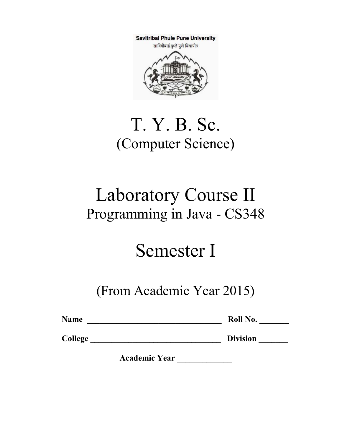Savitribai Phule Pune University



## T. Y. B. Sc. (Computer Science)

## Laboratory Course II Programming in Java - CS348

# Semester I

## (From Academic Year 2015)

| <b>Name</b> | Roll No. |
|-------------|----------|
|             |          |

College \_\_\_\_\_\_\_\_\_\_\_\_\_\_\_\_\_\_\_\_\_\_\_\_\_\_\_\_\_\_\_ Division \_\_\_\_\_\_\_

Academic Year \_\_\_\_\_\_\_\_\_\_\_\_\_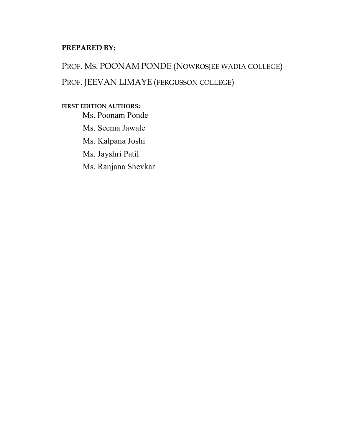#### PREPARED BY:

PROF. MS. POONAM PONDE (NOWROSJEE WADIA COLLEGE) PROF. JEEVAN LIMAYE (FERGUSSON COLLEGE)

FIRST EDITION AUTHORS: Ms. Poonam Ponde Ms. Seema Jawale Ms. Kalpana Joshi Ms. Jayshri Patil Ms. Ranjana Shevkar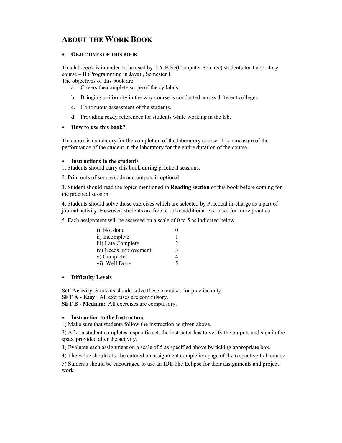### ABOUT THE WORK BOOK

#### • OBJECTIVES OF THIS BOOK

This lab-book is intended to be used by T.Y.B.Sc(Computer Science) students for Laboratory course – II (Programming in Java) , Semester I.

The objectives of this book are

- a. Covers the complete scope of the syllabus.
- b. Bringing uniformity in the way course is conducted across different colleges.
- c. Continuous assessment of the students.
- d. Providing ready references for students while working in the lab.

#### • How to use this book?

This book is mandatory for the completion of the laboratory course. It is a measure of the performance of the student in the laboratory for the entire duration of the course.

#### Instructions to the students

- 1. Students should carry this book during practical sessions.
- 2. Print outs of source code and outputs is optional

3. Student should read the topics mentioned in Reading section of this book before coming for the practical session.

4. Students should solve those exercises which are selected by Practical in-charge as a part of journal activity. However, students are free to solve additional exercises for more practice.

5. Each assignment will be assessed on a scale of 0 to 5 as indicated below.

| i) Not done           |               |
|-----------------------|---------------|
| ii) Incomplete        |               |
| iii) Late Complete    |               |
| iv) Needs improvement | $\mathcal{R}$ |
| v) Complete           |               |
| vi) Well Done         | ς             |

#### • Difficulty Levels

Self Activity: Students should solve these exercises for practice only. SET A - Easy: All exercises are compulsory.

SET B - Medium: All exercises are compulsory.

#### Instruction to the Instructors

1) Make sure that students follow the instruction as given above.

2) After a student completes a specific set, the instructor has to verify the outputs and sign in the space provided after the activity.

3) Evaluate each assignment on a scale of 5 as specified above by ticking appropriate box.

4) The value should also be entered on assignment completion page of the respective Lab course.

5) Students should be encouraged to use an IDE like Eclipse for their assignments and project work.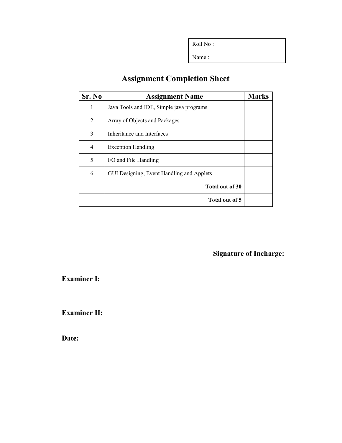Roll No :

Name :

### Assignment Completion Sheet

| Sr. No | <b>Assignment Name</b>                    | <b>Marks</b> |
|--------|-------------------------------------------|--------------|
| 1      | Java Tools and IDE, Simple java programs  |              |
| 2      | Array of Objects and Packages             |              |
| 3      | Inheritance and Interfaces                |              |
| 4      | <b>Exception Handling</b>                 |              |
| 5      | I/O and File Handling                     |              |
| 6      | GUI Designing, Event Handling and Applets |              |
|        | Total out of 30                           |              |
|        | Total out of 5                            |              |

Signature of Incharge:

Examiner I:

Examiner II:

Date: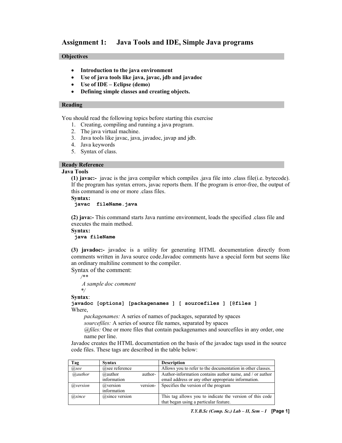#### Assignment 1: Java Tools and IDE, Simple Java programs

#### **Objectives**

- Introduction to the java environment
- Use of java tools like java, javac, jdb and javadoc
- Use of IDE Eclipse (demo)
- Defining simple classes and creating objects.

#### Reading

You should read the following topics before starting this exercise

- 1. Creating, compiling and running a java program.
- 2. The java virtual machine.
- 3. Java tools like javac, java, javadoc, javap and jdb.
- 4. Java keywords
- 5. Syntax of class.

#### Ready Reference

#### Java Tools

(1) javac:- javac is the java compiler which compiles .java file into .class file(i.e. bytecode). If the program has syntax errors, javac reports them. If the program is error-free, the output of this command is one or more .class files.

#### Syntax:

```
 javac fileName.java
```
(2) java:- This command starts Java runtime environment, loads the specified .class file and executes the main method.

Syntax: java fileName

(3) javadoc:- javadoc is a utility for generating HTML documentation directly from comments written in Java source code.Javadoc comments have a special form but seems like an ordinary multiline comment to the compiler.

Syntax of the comment: /\*\*

 A sample doc comment \*/

Syntax:

javadoc [options] [packagenames ] [ sourcefiles ] [@files ] Where,

packagenames: A series of names of packages, separated by spaces

sourcefiles: A series of source file names, separated by spaces

@files: One or more files that contain packagenames and sourcefiles in any order, one name per line.

Javadoc creates the HTML documentation on the basis of the javadoc tags used in the source code files. These tags are described in the table below:

| Tag      | Syntax               | <b>Description</b>                                         |
|----------|----------------------|------------------------------------------------------------|
| @see     | @see reference       | Allows you to refer to the documentation in other classes. |
| @author  | author-<br>@author   | Author-information contains author name, and / or author   |
|          | information          | email address or any other appropriate information.        |
| @version | version-<br>@version | Specifies the version of the program                       |
|          | information          |                                                            |
| (a)since | $(a)$ since version  | This tag allows you to indicate the version of this code   |
|          |                      | that began using a particular feature.                     |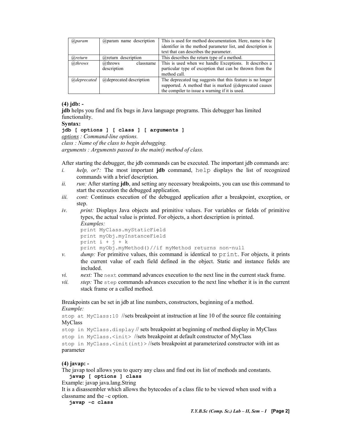| (a)param      | $@$ param name description | This is used for method documentation. Here, name is the<br>identifier in the method parameter list, and description is |
|---------------|----------------------------|-------------------------------------------------------------------------------------------------------------------------|
|               |                            | text that can describes the parameter.                                                                                  |
| (a)return     | $@$ return description     | This describes the return type of a method.                                                                             |
| @throws       | @throws<br>classname       | This is used when we handle Exceptions. It describes a                                                                  |
|               | description                | particular type of exception that can be thrown from the                                                                |
|               |                            | method call.                                                                                                            |
| (a)deprecated | @deprecated description    | The deprecated tag suggests that this feature is no longer                                                              |
|               |                            | supported. A method that is marked @deprecated causes                                                                   |
|               |                            | the compiler to issue a warning if it is used.                                                                          |

#### (4) jdb: -

jdb helps you find and fix bugs in Java language programs. This debugger has limited functionality.

#### Syntax:

```
jdb [ options ] [ class ] [ arguments ]
```
options : Command-line options.

class : Name of the class to begin debugging.

arguments : Arguments passed to the main() method of class.

After starting the debugger, the jdb commands can be executed. The important jdb commands are:

- i. *help, or?*: The most important **jdb** command, help displays the list of recognized commands with a brief description.
- $ii.$  run: After starting jdb, and setting any necessary breakpoints, you can use this command to start the execution the debugged application.
- iii. cont: Continues execution of the debugged application after a breakpoint, exception, or step.
- iv. print: Displays Java objects and primitive values. For variables or fields of primitive types, the actual value is printed. For objects, a short description is printed.

```
Examples:
print MyClass.myStaticField 
print myObj.myInstanceField 
print i + j + kprint myObj.myMethod()//if myMethod returns non-null
```
- $v.$  dump: For primitive values, this command is identical to print. For objects, it prints the current value of each field defined in the object. Static and instance fields are included.
- $vi.$  next: The next command advances execution to the next line in the current stack frame.
- vii. step: The step commands advances execution to the next line whether it is in the current stack frame or a called method.

Breakpoints can be set in jdb at line numbers, constructors, beginning of a method. Example:

stop at MyClass:10 //sets breakpoint at instruction at line 10 of the source file containing MyClass

stop in MyClass.display // sets breakpoint at beginning of method display in MyClass

stop in MyClass.<init> //sets breakpoint at default constructor of MyClass

stop in MyClass.<init(int)>//sets breakpoint at parameterized constructor with int as parameter

#### (4) javap: -

The javap tool allows you to query any class and find out its list of methods and constants. javap [ options ] class

Example: javap java.lang.String

It is a disassembler which allows the bytecodes of a class file to be viewed when used with a classname and the –c option.

javap -c class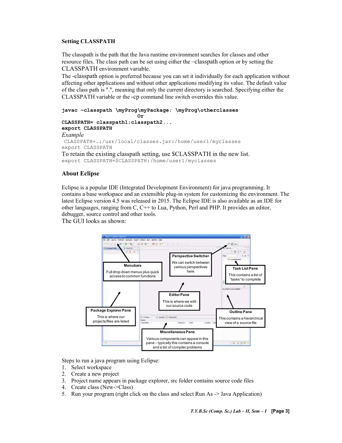#### Setting CLASSPATH

The classpath is the path that the Java runtime environment searches for classes and other resource files. The class path can be set using either the –classpath option or by setting the CLASSPATH environment variable.

The -classpath option is preferred because you can set it individually for each application without affecting other applications and without other applications modifying its value. The default value of the class path is ".", meaning that only the current directory is searched. Specifying either the CLASSPATH variable or the -cp command line switch overrides this value.

```
javac –classpath \myProg\myPackage; \myProg\otherclasses 
                          Or 
CLASSPATH= classpath1;classpath2... 
export CLASSPATH 
Example 
CLASSPATH=.:/usr/local/classes.jar:/home/user1/myclasses 
export CLASSPATH 
To retain the existing classpath setting, use $CLASSPATH in the new list. 
export CLASSPATH=$CLASSPATH:/home/user1/myclasses
```
#### About Eclipse

Eclipse is a popular IDE (Integrated Development Environment) for java programming. It contains a base workspace and an extensible plug-in system for customizing the environment. The latest Eclipse version 4.5 was released in 2015. The Eclipse IDE is also available as an IDE for other languages, ranging from C, C++ to Lua, Python, Perl and PHP. It provides an editor, debugger, source control and other tools.

The GUI looks as shown:



Steps to run a java program using Eclipse:

- 1. Select workspace
- 2. Create a new project
- 3. Project name appears in package explorer, src folder contains source code files
- 4. Create class (New->Class)
- 5. Run your program (right click on the class and select Run As -> Java Application)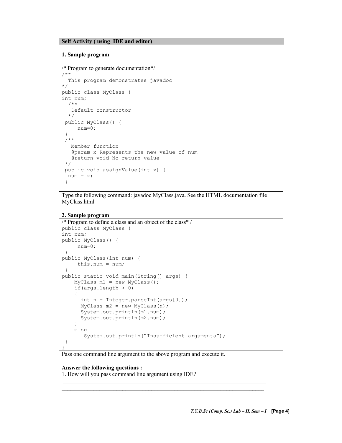#### Self Activity ( using IDE and editor)

#### 1. Sample program

```
/* Program to generate documentation*/ 
/** 
  This program demonstrates javadoc 
*/ 
public class MyClass { 
int num; 
   /** 
    Default constructor 
   */ 
 public MyClass() { 
      num=0; 
  } 
  /** 
   Member function 
    @param x Represents the new value of num 
    @return void No return value 
  */ 
 public void assignValue(int x) { 
 num = x; }
```
Type the following command: javadoc MyClass.java. See the HTML documentation file MyClass.html

#### 2. Sample program

```
/* Program to define a class and an object of the class* / 
public class MyClass { 
int num; 
public MyClass() { 
      num=0; 
  } 
public MyClass(int num) { 
     this.num = num; 
 } 
public static void main(String[] args) { 
    MyClass ml = new MyClass();
    if(args.length > 0)
     { 
       int n = Integer.parseInt(args[0]); 
      MyClass m2 = new MyClass(n);
       System.out.println(m1.num); 
       System.out.println(m2.num); 
     } 
     else 
        System.out.println("Insufficient arguments"); 
  } 
}
```
Pass one command line argument to the above program and execute it.

 \_\_\_\_\_\_\_\_\_\_\_\_\_\_\_\_\_\_\_\_\_\_\_\_\_\_\_\_\_\_\_\_\_\_\_\_\_\_\_\_\_\_\_\_\_\_\_\_\_\_\_\_\_\_\_\_\_\_\_\_\_\_\_\_\_\_\_\_\_\_ \_\_\_\_\_\_\_\_\_\_\_\_\_\_\_\_\_\_\_\_\_\_\_\_\_\_\_\_\_\_\_\_\_\_\_\_\_\_\_\_\_\_\_\_\_\_\_\_\_\_\_\_\_\_\_\_\_\_\_\_\_\_\_\_\_\_\_\_\_\_

#### Answer the following questions :

1. How will you pass command line argument using IDE?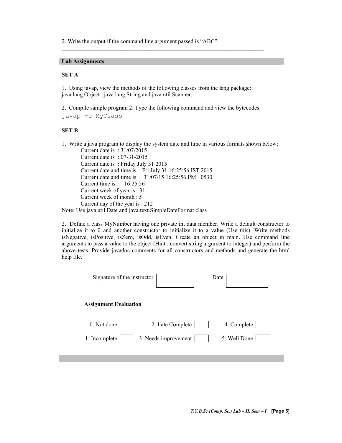2. Write the output if the command line argument passed is "ABC".

#### Lab Assignments

#### SET A

1. Using javap, view the methods of the following classes from the lang package: java.lang.Object , java.lang.String and java.util.Scanner.

2. Compile sample program 2. Type the following command and view the bytecodes. javap -c MyClass

\_\_\_\_\_\_\_\_\_\_\_\_\_\_\_\_\_\_\_\_\_\_\_\_\_\_\_\_\_\_\_\_\_\_\_\_\_\_\_\_\_\_\_\_\_\_\_\_\_\_\_\_\_\_\_\_\_\_\_\_\_\_\_\_\_\_\_\_\_\_

#### SET B

1. Write a java program to display the system date and time in various formats shown below: Current date is : 31/07/2015

Current date is : 07-31-2015 Current date is : Friday July 31 2015 Current date and time is : Fri July 31 16:25:56 IST 2015 Current date and time is : 31/07/15 16:25:56 PM +0530 Current time is : 16:25:56 Current week of year is : 31 Current week of month : 5 Current day of the year is : 212 Note: Use java.util.Date and java.text.SimpleDateFormat class

2. Define a class MyNumber having one private int data member. Write a default constructor to initialize it to 0 and another constructor to initialize it to a value (Use this). Write methods isNegative, isPositive, isZero, isOdd, isEven. Create an object in main. Use command line arguments to pass a value to the object (Hint : convert string argument to integer) and perform the above tests. Provide javadoc comments for all constructors and methods and generate the html help file.

| Signature of the instructor           | Date         |
|---------------------------------------|--------------|
| <b>Assignment Evaluation</b>          |              |
| 0: Not done<br>2: Late Complete       | 4: Complete  |
| 3: Needs improvement<br>1: Incomplete | 5: Well Done |
|                                       |              |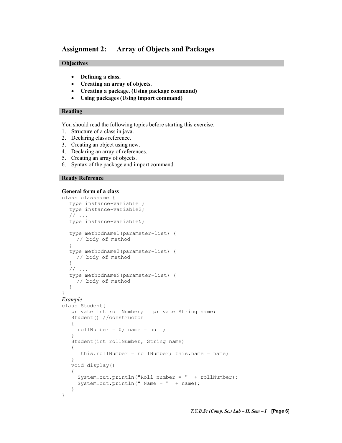#### Assignment 2: Array of Objects and Packages

#### **Objectives**

- Defining a class.
- Creating an array of objects.
- Creating a package. (Using package command)
- Using packages (Using import command)

#### Reading

You should read the following topics before starting this exercise:

- 1. Structure of a class in java.
- 2. Declaring class reference.
- 3. Creating an object using new.
- 4. Declaring an array of references.
- 5. Creating an array of objects.
- 6. Syntax of the package and import command.

#### Ready Reference

}

#### General form of a class

```
class classname { 
  type instance-variable1; 
  type instance-variable2; 
  // ... 
  type instance-variableN; 
  type methodname1(parameter-list) { 
    // body of method 
  } 
  type methodname2(parameter-list) { 
     // body of method
  } 
  // ... 
  type methodnameN(parameter-list) { 
     // body of method 
  } 
} 
Example 
class Student{ 
    private int rollNumber; private String name; 
    Student() //constructor 
    { 
     rollNumber = 0; name = null;
    } 
    Student(int rollNumber, String name) 
    { 
      this.rollNumber = rollNumber; this.name = name;
 } 
    void display() 
    { 
      System.out.println("Roll number = " + rollNumber); 
     System.out.println(" Name = " + name);
    }
```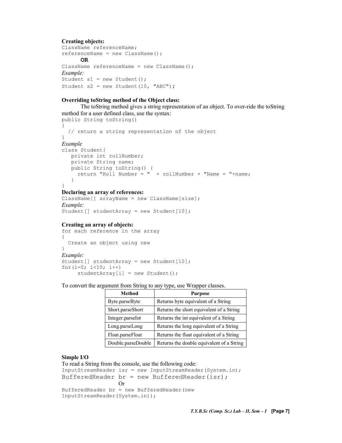#### Creating objects:

```
ClassName referenceName; 
referenceName = new ClassName(); 
       OR 
ClassName referenceName = new ClassName(); 
Example: 
Student s1 = new Student(); 
Student s2 = new Student(10, "ABC");
```
#### Overriding toString method of the Object class:

The toString method gives a string representation of an object. To over-ride the toString method for a user defined class, use the syntax: public String toString() { // return a string representation of the object }

#### Example

```
class Student{ 
    private int rollNumber; 
    private String name; 
    public String toString() { 
     return "Roll Number = " + rollNumber + "Name = "+name;
    } 
}
```
#### Declaring an array of references:

```
ClassName[] arrayName = new ClassName[size];
Example: 
Student[] studentArray = new Student[10];
```
#### Creating an array of objects:

```
for each reference in the array 
{ 
  Create an object using new 
} 
Example: 
Student[] studentArray = new Student[10];
for(i=0; i<10; i+1)
     studentArray[i] = new Student();
```
To convert the argument from String to any type, use Wrapper classes.

| <b>Method</b>      | <b>Purpose</b>                            |
|--------------------|-------------------------------------------|
| Byte.parseByte     | Returns byte equivalent of a String       |
| Short.parseShort   | Returns the short equivalent of a String  |
| Integer.parseInt   | Returns the int equivalent of a String    |
| Long.parseLong     | Returns the long equivalent of a String   |
| Float.parseFloat   | Returns the float equivalent of a String  |
| Double.parseDouble | Returns the double equivalent of a String |

#### Simple I/O

```
To read a String from the console, use the following code: 
InputStreamReader isr = new InputStreamReader(System.in); 
BufferedReader br = new BufferedReader(isr); Or 
BufferedReader br = new BufferedReader(new 
InputStreamReader(System.in));
```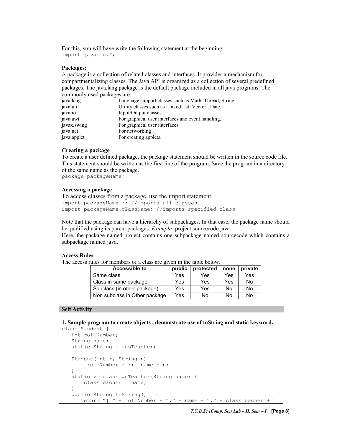For this, you will have write the following statement at the beginning: import java.io.\*;

#### Packages:

A package is a collection of related classes and interfaces. It provides a mechanism for compartmentalizing classes. The Java API is organized as a collection of several predefined packages. The java.lang package is the default package included in all java programs. The commonly used packages are:

| java.lang   | Language support classes such as Math, Thread, String |
|-------------|-------------------------------------------------------|
| java.util   | Utility classes such as LinkedList, Vector, Date.     |
| java.io     | Input/Output classes                                  |
| java.awt    | For graphical user interfaces and event handling.     |
| javax.swing | For graphical user interfaces                         |
| java.net    | For networking                                        |
| java.applet | For creating applets.                                 |

#### Creating a package

To create a user defined package, the package statement should be written in the source code file. This statement should be written as the first line of the program. Save the program in a directory of the same name as the package.

package packageName;

#### Accessing a package

To access classes from a package, use the import statement. import packageName.\*; //imports all classes import packageName.className; //imports specified class

Note that the package can have a hierarchy of subpackages. In that case, the package name should be qualified using its parent packages. Example: project.sourcecode.java

Here, the package named project contains one subpackage named sourcecode which contains a subpackage named java.

#### Access Rules

The access rules for members of a class are given in the table below.

| Accessible to                 | public | protected | none | private |
|-------------------------------|--------|-----------|------|---------|
| Same class                    | Yes    | Yes       | Yes  | Yes     |
| Class in same package         | Yes    | Yes       | Yes  | No      |
| Subclass (in other package)   | Yes    | Yes       | No   | No      |
| Non subclass in Other package | Yes    | No        | N٥   | Nο      |

#### Self Activity

1. Sample program to create objects , demonstrate use of toString and static keyword.

```
class Student { 
   int rollNumber; 
   String name; 
   static String classTeacher; 
   Student(int r, String n) {
        rollNumber = r; name = n;
   } 
   static void assignTeacher(String name) { 
       classTeacher = name; 
    } 
   public String toString() { 
      return "[ " + rollNumber + ", " + name + ", " + classTeacher +"
```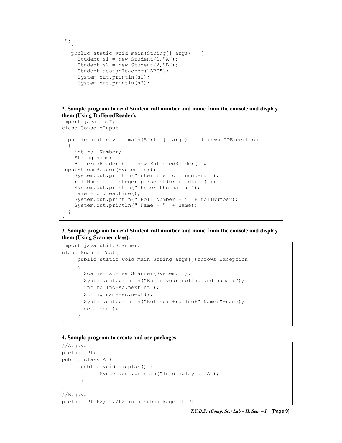```
]"; 
 } 
   public static void main(String[] args) { 
     Student s1 = new Student(1, "A");
     Student s2 = new Student(2, "B");
      Student.assignTeacher("ABC"); 
      System.out.println(s1); 
      System.out.println(s2); 
   } 
}
```
2. Sample program to read Student roll number and name from the console and display them (Using BufferedReader).

```
import java.io.*; 
class ConsoleInput 
{ 
  public static void main(String[] args) throws IOException 
\left\{ \begin{array}{c} \end{array} \right. int rollNumber; 
     String name; 
     BufferedReader br = new BufferedReader(new 
InputStreamReader(System.in)); 
     System.out.println("Enter the roll number: "); 
     rollNumber = Integer.parseInt(br.readLine()); 
     System.out.println(" Enter the name: "); 
    name = br.readLine();
    System.out.println(" Roll Number = " + rollNumber);
    System.out.println(" Name = " + name);
   } 
}
```
3. Sample program to read Student roll number and name from the console and display them (Using Scanner class).

```
import java.util.Scanner; 
class ScannerTest{ 
     public static void main (String args []) throws Exception
\left\{ \begin{array}{c} 1 \end{array} \right.Scanner sc=new Scanner(System.in);
         System.out.println("Enter your rollno and name :"); 
         int rollno=sc.nextInt(); 
         String name=sc.next(); 
         System.out.println("Rollno:"+rollno+" Name:"+name); 
         sc.close(); 
 } 
}
```
#### 4. Sample program to create and use packages

```
//A.java 
package P1; 
public class A { 
       public void display() { 
             System.out.println("In display of A"); 
 } 
} 
//B.java 
package P1.P2; //P2 is a subpackage of P1
```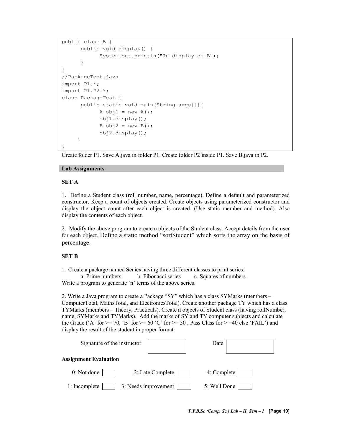```
public class B { 
       public void display() { 
             System.out.println("In display of B"); 
 } 
} 
//PackageTest.java 
import P1.*; 
import P1.P2.*; 
class PackageTest { 
       public static void main(String args[]){ 
            A obj1 = new A();
             obj1.display(); 
            B obj2 = new B();
             obj2.display(); 
 } 
}
```
Create folder P1. Save A.java in folder P1. Create folder P2 inside P1. Save B.java in P2.

#### Lab Assignments

#### SET A

1. Define a Student class (roll number, name, percentage). Define a default and parameterized constructor. Keep a count of objects created. Create objects using parameterized constructor and display the object count after each object is created. (Use static member and method). Also display the contents of each object.

2. Modify the above program to create n objects of the Student class. Accept details from the user for each object. Define a static method "sortStudent" which sorts the array on the basis of percentage.

#### SET B

1. Create a package named Series having three different classes to print series: a. Prime numbers b. Fibonacci series c. Squares of numbers Write a program to generate 'n' terms of the above series.

2. Write a Java program to create a Package "SY" which has a class SYMarks (members – ComputerTotal, MathsTotal, and ElectronicsTotal). Create another package TY which has a class TYMarks (members – Theory, Practicals). Create n objects of Student class (having rollNumber, name, SYMarks and TYMarks). Add the marks of SY and TY computer subjects and calculate the Grade ('A' for  $>= 70$ , 'B' for  $>= 60$  'C' for  $>= 50$ , Pass Class for  $>= 40$  else 'FAIL') and display the result of the student in proper format.

| Signature of the instructor  |                      | Date         |  |
|------------------------------|----------------------|--------------|--|
| <b>Assignment Evaluation</b> |                      |              |  |
| 0: Not done                  | 2: Late Complete     | 4: Complete  |  |
| 1: Incomplete                | 3: Needs improvement | 5: Well Done |  |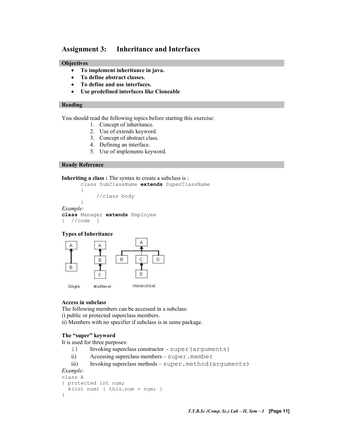#### Assignment 3: Inheritance and Interfaces

#### **Objectives**

- To implement inheritance in java.
- To define abstract classes.
- To define and use interfaces.
- Use predefined interfaces like Cloneable

#### Reading

You should read the following topics before starting this exercise:

- 1. Concept of inheritance.
- 2. Use of extends keyword.
- 3. Concept of abstract class.
- 4. Defining an interface.
- 5. Use of implements keyword.

#### Ready Reference

Inheriting a class : The syntax to create a subclass is :

```
class SubClassName extends SuperClassName
      { 
            //class body 
      } 
Example: 
class Manager extends Employee
{ //code }
```
#### Types of Inheritance



#### Access in subclass

The following members can be accessed in a subclass:

i) public or protected superclass members.

ii) Members with no specifier if subclass is in same package.

#### The "super" keyword

It is used for three purposes:

- i) Invoking superclass constructor super (arguments)
- ii) Accessing superclass members super.member
- iii) Invoking superclass methods super.method (arguments)

#### Example:

```
class A 
{ protected int num; 
  A(int num) { this.num = num; } 
}
```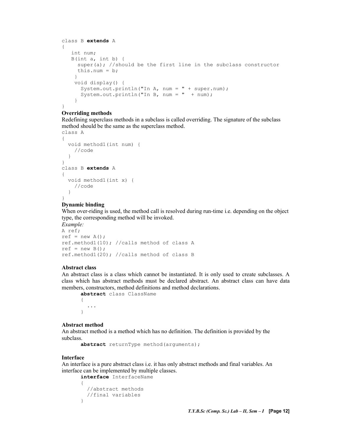```
class B extends A 
{ 
   int num; 
   B(int a, int b) { 
     super(a); //should be the first line in the subclass constructor
     this.num = b;
 } 
     void display() { 
       System.out.println("In A, num = " + super.num); 
      System.out.println("In B, num = " + num);
     } 
}
```
#### Overriding methods

Redefining superclass methods in a subclass is called overriding. The signature of the subclass method should be the same as the superclass method.

```
class A 
{ 
   void method1(int num) { 
     //code 
   } 
} 
class B extends A 
{ 
   void method1(int x) { 
     //code 
   } 
}
```
#### Dynamic binding

When over-riding is used, the method call is resolved during run-time i.e. depending on the object type, the corresponding method will be invoked.

```
Example: 
A ref; 
ref = new A();
ref.method1(10); //calls method of class A 
ref = new B():
ref.method1(20); //calls method of class B
```
#### Abstract class

An abstract class is a class which cannot be instantiated. It is only used to create subclasses. A class which has abstract methods must be declared abstract. An abstract class can have data members, constructors, method definitions and method declarations.

abstract class ClassName { ... }

#### Abstract method

An abstract method is a method which has no definition. The definition is provided by the subclass.

```
abstract returnType method(arguments);
```
#### Interface

An interface is a pure abstract class i.e. it has only abstract methods and final variables. An interface can be implemented by multiple classes.

```
interface InterfaceName 
{ 
   //abstract methods 
   //final variables 
}
```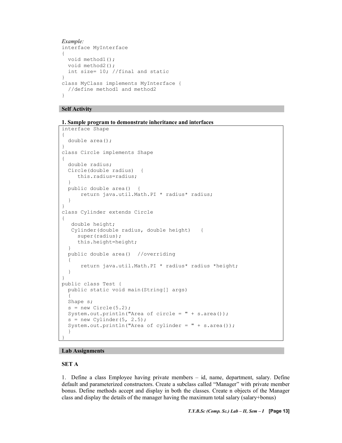```
Example: 
interface MyInterface 
{ 
  void method1(); 
 void method2();
  int size= 10; //final and static 
} 
class MyClass implements MyInterface { 
  //define method1 and method2 
}
```
#### Self Activity

1. Sample program to demonstrate inheritance and interfaces

```
interface Shape 
{ 
   double area(); 
} 
class Circle implements Shape 
{ 
   double radius; 
   Circle(double radius) { 
      this.radius=radius; 
   } 
   public double area() { 
       return java.util.Math.PI * radius* radius; 
   } 
} 
class Cylinder extends Circle 
{ 
    double height; 
    Cylinder(double radius, double height) { 
      super(radius); 
      this.height=height; 
   } 
   public double area() //overriding 
   { 
       return java.util.Math.PI * radius* radius *height; 
   } 
} 
public class Test { 
   public static void main(String[] args) 
\left\{ \begin{array}{c} 1 \end{array} \right\} Shape s; 
  s = new Circle(5.2); System.out.println("Area of circle = " + s.area()); 
  s = new Cylinder(5, 2.5);System.out.println("Area of cylinder = " + s.area();
   }
```
#### Lab Assignments

#### SET A

}

1. Define a class Employee having private members – id, name, department, salary. Define default and parameterized constructors. Create a subclass called "Manager" with private member bonus. Define methods accept and display in both the classes. Create n objects of the Manager class and display the details of the manager having the maximum total salary (salary+bonus)

T.Y.B.Sc (Comp. Sc.) Lab - II, Sem - I [Page 13]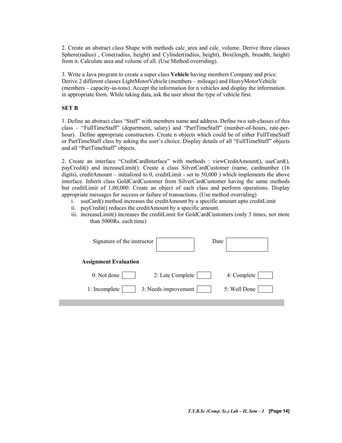2. Create an abstract class Shape with methods calc\_area and calc\_volume. Derive three classes Sphere(radius) , Cone(radius, height) and Cylinder(radius, height), Box(length, breadth, height) from it. Calculate area and volume of all. (Use Method overriding).

3. Write a Java program to create a super class Vehicle having members Company and price. Derive 2 different classes LightMotorVehicle (members – mileage) and HeavyMotorVehicle (members – capacity-in-tons). Accept the information for n vehicles and display the information in appropriate form. While taking data, ask the user about the type of vehicle first.

#### SET B

1. Define an abstract class "Staff" with members name and address. Define two sub-classes of this class – "FullTimeStaff" (department, salary) and "PartTimeStaff" (number-of-hours, rate-perhour). Define appropriate constructors. Create n objects which could be of either FullTimeStaff or PartTimeStaff class by asking the user's choice. Display details of all "FullTimeStaff" objects and all "PartTimeStaff" objects.

2. Create an interface "CreditCardInterface" with methods : viewCreditAmount(), useCard(), payCredit() and increaseLimit(). Create a class SilverCardCustomer (name, cardnumber (16 digits), creditAmount – initialized to 0, creditLimit - set to 50,000 ) which implements the above interface. Inherit class GoldCardCustomer from SilverCardCustomer having the same methods but creditLimit of 1,00,000. Create an object of each class and perform operations. Display appropriate messages for success or failure of transactions. (Use method overriding)

- i. useCard() method increases the creditAmount by a specific amount upto creditLimit
- ii. payCredit() reduces the creditAmount by a specific amount.
- iii. increaseLimit() increases the creditLimit for GoldCardCustomers (only 3 times, not more than 5000Rs. each time)

| Signature of the instructor           | Date         |
|---------------------------------------|--------------|
| <b>Assignment Evaluation</b>          |              |
| 0: Not done<br>2: Late Complete       | 4: Complete  |
| 3: Needs improvement<br>1: Incomplete | 5: Well Done |
|                                       |              |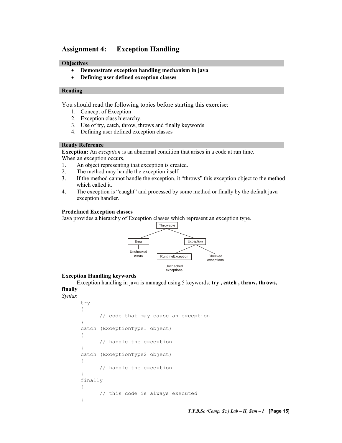#### Assignment 4: Exception Handling

#### **Objectives**

- Demonstrate exception handling mechanism in java
- Defining user defined exception classes

#### Reading

You should read the following topics before starting this exercise:

- 1. Concept of Exception
- 2. Exception class hierarchy.
- 3. Use of try, catch, throw, throws and finally keywords
- 4. Defining user defined exception classes

#### Ready Reference

Exception: An exception is an abnormal condition that arises in a code at run time. When an exception occurs,

- 1. An object representing that exception is created.
- 2. The method may handle the exception itself.
- 3. If the method cannot handle the exception, it "throws" this exception object to the method which called it.
- 4. The exception is "caught" and processed by some method or finally by the default java exception handler.

#### Predefined Exception classes

Java provides a hierarchy of Exception classes which represent an exception type.



#### Exception Handling keywords

Exception handling in java is managed using 5 keywords: try , catch , throw, throws, finally

#### Syntax

```
try 
{ 
       // code that may cause an exception 
} 
catch (ExceptionType1 object) 
{ 
       // handle the exception 
} 
catch (ExceptionType2 object) 
{ 
       // handle the exception 
} 
finally 
{ 
       // this code is always executed 
}
```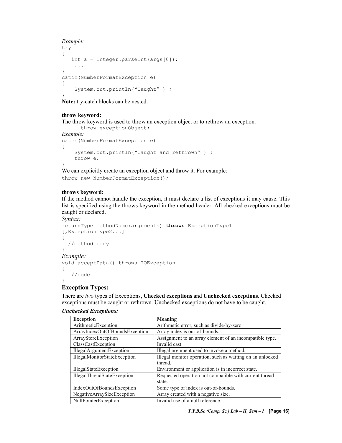#### Example:

```
try 
{ 
    int a = Integer.parseInt(args[0]); 
     ... 
} 
catch(NumberFormatException e) 
{ 
     System.out.println("Caught" ) ; 
}
```
Note: try-catch blocks can be nested.

#### throw keyword:

The throw keyword is used to throw an exception object or to rethrow an exception.

```
throw exceptionObject; 
Example: 
catch(NumberFormatException e) 
{ 
     System.out.println("Caught and rethrown" ) ; 
     throw e; 
}
```
We can explicitly create an exception object and throw it. For example: throw new NumberFormatException();

#### throws keyword:

If the method cannot handle the exception, it must declare a list of exceptions it may cause. This list is specified using the throws keyword in the method header. All checked exceptions muct be caught or declared.

```
Syntax:
```

```
returnType methodName(arguments) throws ExceptionType1
[,ExceptionType2...] 
{ 
   //method body 
} 
Example: 
void acceptData() throws IOException 
{ 
    //code 
}
```
#### Exception Types:

There are two types of Exceptions, Checked exceptions and Unchecked exceptions. Checked exceptions must be caught or rethrown. Unchecked exceptions do not have to be caught.

#### Unchecked Exceptions:

| <b>Exception</b>               | Meaning                                                   |
|--------------------------------|-----------------------------------------------------------|
| ArithmeticException            | Arithmetic error, such as divide-by-zero.                 |
| ArrayIndexOutOfBoundsException | Array index is out-of-bounds.                             |
| ArrayStoreException            | Assignment to an array element of an incompatible type.   |
| ClassCastException             | Invalid cast.                                             |
| IllegalArgumentException       | Illegal argument used to invoke a method.                 |
| IllegalMonitorStateException   | Illegal monitor operation, such as waiting on an unlocked |
|                                | thread.                                                   |
| IllegalStateException          | Environment or application is in incorrect state.         |
| IllegalThreadStateException    | Requested operation not compatible with current thread    |
|                                | state.                                                    |
| IndexOutOfBoundsException      | Some type of index is out-of-bounds.                      |
| NegativeArraySizeException     | Array created with a negative size.                       |
| NullPointerException           | Invalid use of a null reference.                          |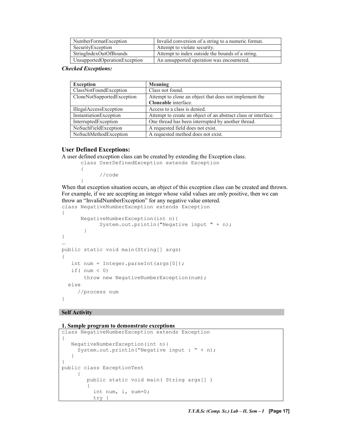| NumberFormatException         | Invalid conversion of a string to a numeric format. |
|-------------------------------|-----------------------------------------------------|
| SecurityException             | Attempt to violate security.                        |
| StringIndexOutOfBounds        | Attempt to index outside the bounds of a string.    |
| UnsupportedOperationException | An unsupported operation was encountered.           |

Checked Exceptions:

| <b>Exception</b>           | Meaning                                                        |
|----------------------------|----------------------------------------------------------------|
| ClassNotFoundException     | Class not found.                                               |
| CloneNotSupportedException | Attempt to clone an object that does not implement the         |
|                            | Cloneable interface.                                           |
| IllegalAccessException     | Access to a class is denied.                                   |
| InstantiationException     | Attempt to create an object of an abstract class or interface. |
| InterruptedException       | One thread has been interrupted by another thread.             |
| NoSuchFieldException       | A requested field does not exist.                              |
| NoSuchMethodException      | A requested method does not exist.                             |

#### User Defined Exceptions:

{

}

A user defined exception class can be created by extending the Exception class.

```
class UserDefinedException extends Exception
```

```
 //code
```
When that exception situation occurs, an object of this exception class can be created and thrown. For example, if we are accepting an integer whose valid values are only positive, then we can throw an "InvalidNumberException" for any negative value entered.

```
class NegativeNumberException extends Exception 
{ 
       NegativeNumberException(int n){ 
             System.out.println("Negative input " + n); 
 } 
} 
... 
public static void main(String[] args) 
{ 
    int num = Integer.parseInt(args[0]); 
   if( num < 0)
        throw new NegativeNumberException(num); 
   else 
      //process num 
}
```
#### Self Activity

#### 1. Sample program to demonstrate exceptions

```
class NegativeNumberException extends Exception 
{ 
    NegativeNumberException(int n){ 
     System.out.println("Negative input : " + n);
    } 
} 
public class ExceptionTest 
      { 
         public static void main( String args[] ) 
\{ int num, i, sum=0; 
           try {
```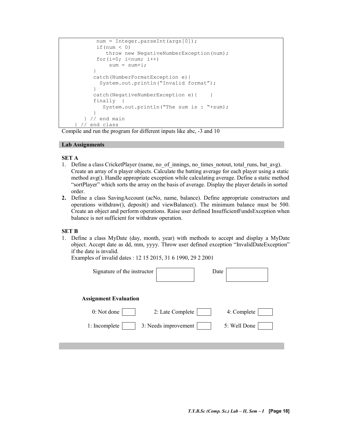```
num = Integer.parseInt(args[0]);
           if (num \langle 0 \rangle throw new NegativeNumberException(num); 
           for(i=0; i<num; i++)
               sum = sum + i; } 
           catch(NumberFormatException e){ 
            System.out.println("Invalid format"); 
 } 
          catch(NegativeNumberException e) { }
           finally { 
              System.out.println("The sum is : "+sum); 
 } 
       } // end main 
     } // end class
```
Compile and run the program for different inputs like abc, -3 and 10

#### Lab Assignments

#### SET A

- 1. Define a class CricketPlayer (name, no of innings, no times notout, total runs, bat avg). Create an array of n player objects. Calculate the batting average for each player using a static method avg(). Handle appropriate exception while calculating average. Define a static method "sortPlayer" which sorts the array on the basis of average. Display the player details in sorted order.
- 2. Define a class SavingAccount (acNo, name, balance). Define appropriate constructors and operations withdraw(), deposit() and viewBalance(). The minimum balance must be 500. Create an object and perform operations. Raise user defined InsufficientFundsException when balance is not sufficient for withdraw operation.

#### SET B

1. Define a class MyDate (day, month, year) with methods to accept and display a MyDate object. Accept date as dd, mm, yyyy. Throw user defined exception "InvalidDateException" if the date is invalid.

```
Examples of invalid dates : 12 15 2015, 31 6 1990, 29 2 2001
```

| Signature of the instructor  |                      | Date |              |  |
|------------------------------|----------------------|------|--------------|--|
| <b>Assignment Evaluation</b> |                      |      |              |  |
| 0: Not done                  | 2: Late Complete     |      | 4: Complete  |  |
| 1: Incomplete                | 3: Needs improvement |      | 5: Well Done |  |
|                              |                      |      |              |  |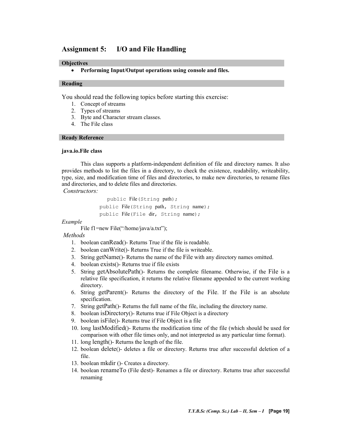#### Assignment 5: I/O and File Handling

#### **Objectives**

• Performing Input/Output operations using console and files.

#### Reading

You should read the following topics before starting this exercise:

- 1. Concept of streams
- 2. Types of streams
- 3. Byte and Character stream classes.
- 4. The File class

#### Ready Reference

#### java.io.File class

This class supports a platform-independent definition of file and directory names. It also provides methods to list the files in a directory, to check the existence, readability, writeability, type, size, and modification time of files and directories, to make new directories, to rename files and directories, and to delete files and directories.

Constructors:

 public File(String path); public File(String path, String name); public File(File dir, String name);

Example

File f1=new File("/home/java/a.txt");

Methods

- 1. boolean canRead()- Returns True if the file is readable.
- 2. boolean canWrite()- Returns True if the file is writeable.
- 3. String getName()- Returns the name of the File with any directory names omitted.
- 4. boolean exists()- Returns true if file exists
- 5. String getAbsolutePath()- Returns the complete filename. Otherwise, if the File is a relative file specification, it returns the relative filename appended to the current working directory.
- 6. String getParent()- Returns the directory of the File. If the File is an absolute specification.
- 7. String getPath()- Returns the full name of the file, including the directory name.
- 8. boolean isDirectory()- Returns true if File Object is a directory
- 9. boolean isFile()- Returns true if File Object is a file
- 10. long lastModified()- Returns the modification time of the file (which should be used for comparison with other file times only, and not interpreted as any particular time format).
- 11. long length()- Returns the length of the file.
- 12. boolean delete()- deletes a file or directory. Returns true after successful deletion of a file.
- 13. boolean mkdir ()- Creates a directory.
- 14. boolean renameTo (File dest)- Renames a file or directory. Returns true after successful renaming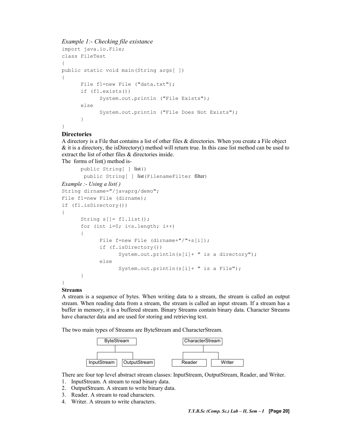#### Example 1:- Checking file existance

```
import java.io.File; 
class FileTest 
{ 
public static void main(String args[ ]) 
{ 
      File f1=new File ("data.txt");
      if (f1.exists()) 
             System.out.println ("File Exists"); 
      else 
             System.out.println ("File Does Not Exists"); 
 } 
}
```
#### **Directories**

A directory is a File that contains a list of other files & directories. When you create a File object & it is a directory, the isDirectory() method will return true. In this case list method can be used to extract the list of other files & directories inside.

The forms of list() method is-

```
public String[ ] list() 
        public String[ ] list(FilenameFilter filter) 
Example :- Using a list( ) 
String dirname="/javaprg/demo"; 
File f1=new File (dirname); 
if (f1.isDirectory()) 
{ 
      String s[] = f1. list();
      for (int i=0; i \leq s.length; i++){ 
             File f=new File (dirname+"/"+s[i]);
             if (f.isDirectory()) 
                    System.out.println(s[i]+ " is a directory"); 
             else 
                    System.out.println(s[i]+ " is a File"); 
       } 
\mathbf{I}
```
#### Streams

A stream is a sequence of bytes. When writing data to a stream, the stream is called an output stream. When reading data from a stream, the stream is called an input stream. If a stream has a buffer in memory, it is a buffered stream. Binary Streams contain binary data. Character Streams have character data and are used for storing and retrieving text.

The two main types of Streams are ByteStream and CharacterStream.



There are four top level abstract stream classes: InputStream, OutputStream, Reader, and Writer.

- 1. InputStream. A stream to read binary data.
- 2. OutputStream. A stream to write binary data.
- 3. Reader. A stream to read characters.
- 4. Writer. A stream to write characters.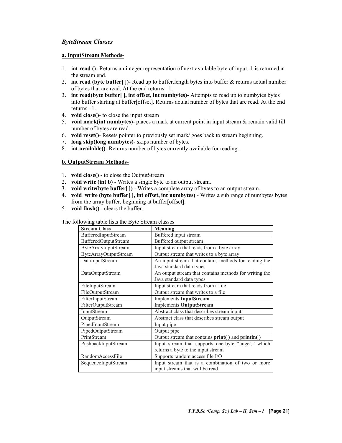#### ByteStream Classes

#### a. InputStream Methods-

- 1. int read ()- Returns an integer representation of next available byte of input.-1 is returned at the stream end.
- 2. int read (byte buffer[])-Read up to buffer.length bytes into buffer  $&$  returns actual number of bytes that are read. At the end returns –1.
- 3. int read(byte buffer[ ], int offset, int numbytes)- Attempts to read up to numbytes bytes into buffer starting at buffer[offset]. Returns actual number of bytes that are read. At the end returns –1.
- 4. void close()- to close the input stream
- 5. void mark(int numbytes)- places a mark at current point in input stream  $\&$  remain valid till number of bytes are read.
- 6. void reset()- Resets pointer to previously set mark/ goes back to stream beginning.
- 7. long skip(long numbytes)- skips number of bytes.
- 8. int available()- Returns number of bytes currently available for reading.

#### b. OutputStream Methods-

- 1. void close() to close the OutputStream
- 2. void write (int b) Writes a single byte to an output stream.
- 3. void write(byte buffer[ ]) Writes a complete array of bytes to an output stream.
- 4. void write (byte buffer [ ], int offset, int numbytes) Writes a sub range of numbytes bytes from the array buffer, beginning at buffer[offset].
- 5. void flush() clears the buffer.

The following table lists the Byte Stream classes

| <b>Stream Class</b>          | <b>Meaning</b>                                                                       |
|------------------------------|--------------------------------------------------------------------------------------|
| BufferedInputStream          | Buffered input stream                                                                |
| BufferedOutputStream         | Buffered output stream                                                               |
| ByteArrayInputStream         | Input stream that reads from a byte array                                            |
| <b>ByteArrayOutputStream</b> | Output stream that writes to a byte array                                            |
| DataInputStream              | An input stream that contains methods for reading the<br>Java standard data types    |
| DataOutputStream             | An output stream that contains methods for writing the<br>Java standard data types   |
| FileInputStream              | Input stream that reads from a file                                                  |
| FileOutputStream             | Output stream that writes to a file                                                  |
| FilterInputStream            | Implements InputStream                                                               |
| FilterOutputStream           | <b>Implements OutputStream</b>                                                       |
| InputStream                  | Abstract class that describes stream input                                           |
| OutputStream                 | Abstract class that describes stream output                                          |
| PipedInputStream             | Input pipe                                                                           |
| PipedOutputStream            | Output pipe                                                                          |
| PrintStream                  | Output stream that contains print() and println()                                    |
| PushbackInputStream          | Input stream that supports one-byte "unget," which                                   |
|                              | returns a byte to the input stream                                                   |
| RandomAccessFile             | Supports random access file I/O                                                      |
| SequenceInputStream          | Input stream that is a combination of two or more<br>input streams that will be read |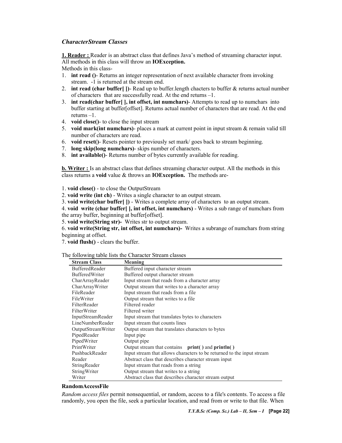#### CharacterStream Classes

1. Reader : Reader is an abstract class that defines Java's method of streaming character input. All methods in this class will throw an IOException.

Methods in this class-

- 1. int read ()- Returns an integer representation of next available character from invoking stream. -1 is returned at the stream end.
- 2. int read (char buffer  $| \cdot |$ )- Read up to buffer. length chacters to buffer & returns actual number of characters that are successfully read. At the end returns –1.
- 3. int read(char buffer[ ], int offset, int numchars)- Attempts to read up to numchars into buffer starting at buffer[offset]. Returns actual number of characters that are read. At the end returns –1.
- 4. void close()- to close the input stream
- 5. void mark(int numchars)- places a mark at current point in input stream  $\&$  remain valid till number of characters are read.
- 6. void reset()- Resets pointer to previously set mark/ goes back to stream beginning.
- 7. long skip(long numchars)- skips number of characters.
- 8. int available()- Returns number of bytes currently available for reading.

**b. Writer :** Is an abstract class that defines streaming character output. All the methods in this class returns a void value & throws an IOException. The methods are-

1. void close() - to close the OutputStream

2. void write (int ch) - Writes a single character to an output stream.

3. void write(char buffer[ ]) - Writes a complete array of characters to an output stream.

4. void write (char buffer[ ], int offset, int numchars) - Writes a sub range of numchars from the array buffer, beginning at buffer[offset].

5. void write(String str)- Writes str to output stream.

6. void write(String str, int offset, int numchars)- Writes a subrange of numchars from string beginning at offset.

7. void flush() - clears the buffer.

The following table lists the Character Stream classes

| <b>Stream Class</b>   | Meaning                                                                |  |
|-----------------------|------------------------------------------------------------------------|--|
| <b>BufferedReader</b> | Buffered input character stream                                        |  |
| <b>BufferedWriter</b> | Buffered output character stream                                       |  |
| CharArrayReader       | Input stream that reads from a character array                         |  |
| CharArrayWriter       | Output stream that writes to a character array                         |  |
| FileReader            | Input stream that reads from a file.                                   |  |
| FileWriter            | Output stream that writes to a file                                    |  |
| FilterReader          | Filtered reader                                                        |  |
| FilterWriter          | Filtered writer                                                        |  |
| InputStreamReader     | Input stream that translates bytes to characters                       |  |
| LineNumberReader      | Input stream that counts lines                                         |  |
| OutputStreamWriter    | Output stream that translates characters to bytes                      |  |
| PipedReader           | Input pipe                                                             |  |
| PipedWriter           | Output pipe                                                            |  |
| PrintWriter           | Output stream that contains $print()$ and $print()$                    |  |
| PushbackReader        | Input stream that allows characters to be returned to the input stream |  |
| Reader                | Abstract class that describes character stream input                   |  |
| StringReader          | Input stream that reads from a string                                  |  |
| StringWriter          | Output stream that writes to a string                                  |  |
| Writer                | Abstract class that describes character stream output                  |  |

#### RandomAccessFile

Random access files permit nonsequential, or random, access to a file's contents. To access a file randomly, you open the file, seek a particular location, and read from or write to that file. When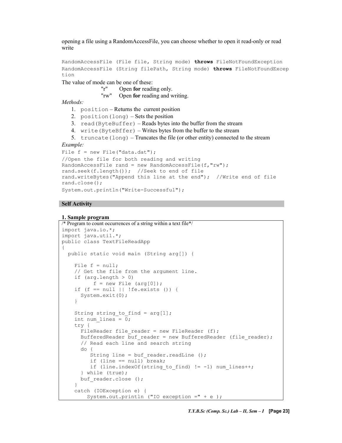opening a file using a RandomAccessFile, you can choose whether to open it read-only or read write

RandomAccessFile (File file, String mode) throws FileNotFoundException RandomAccessFile (String filePath, String mode) throws FileNotFoundExcep tion

The value of mode can be one of these:

```
"r" Open for reading only.
```
"rw" Open for reading and writing.

Methods:

- 1. position Returns the current position
- 2. position(long) Sets the position
- 3. read(ByteBuffer) Reads bytes into the buffer from the stream
- 4. write(ByteBffer) Writes bytes from the buffer to the stream

5. truncate (long) – Truncates the file (or other entity) connected to the stream

Example:

```
File f = new File("data.dat");//Open the file for both reading and writing 
RandomAccessFile rand = new RandomAccessFile(f,"rw"); 
rand.seek(f.length()); //Seek to end of file 
rand.writeBytes("Append this line at the end"); //Write end of file 
rand.close(); 
System.out.println("Write-Successful");
```
#### Self Activity

#### 1. Sample program

```
/* Program to count occurrences of a string within a text file*/ 
import java.io.*; 
import java.util.*; 
public class TextFileReadApp 
{ 
  public static void main (String arg[]) { 
    File f = null; // Get the file from the argument line. 
    if (\text{arg.length} > 0)f = new File (arg[0]);if (f == null || !fe.exists () {
       System.exit(0); 
     } 
    String string to find = arg[1];
     int num_lines = 0; 
     try { 
      FileReader file reader = new FileReader (f);
      BufferedReader buf reader = new BufferedReader (file reader);
       // Read each line and search string 
       do { 
         String line = buf reader.readLine ();
         if (line == null) break;
         if (line.indexOf(string to find) != -1) num lines++;
       } while (true); 
      buf reader.close ();
     } 
     catch (IOException e) { 
         System.out.println ("IO exception =" + e );
```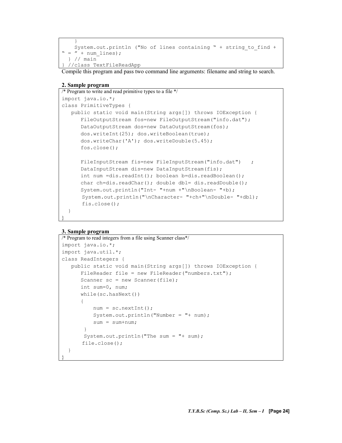```
 } 
   System.out.println ("No of lines containing " + string to find +
" = " + num lines); } // main 
  } //class TextFileReadApp
```
Compile this program and pass two command line arguments: filename and string to search.

#### 2. Sample program

```
/* Program to write and read primitive types to a file */ 
import java.io.*; 
class PrimitiveTypes { 
    public static void main(String args[]) throws IOException { 
       FileOutputStream fos=new FileOutputStream("info.dat"); 
       DataOutputStream dos=new DataOutputStream(fos); 
      dos.writeInt(25); dos.writeBoolean(true);
       dos.writeChar('A'); dos.writeDouble(5.45); 
       fos.close(); 
      FileInputStream fis=new FileInputStream("info.dat") ;
      DataInputStream dis=new DataInputStream(fis);
       int num =dis.readInt(); boolean b=dis.readBoolean(); 
      char ch=dis.readChar(); double dbl= dis.readDouble();
       System.out.println("Int- "+num +"\nBoolean- "+b); 
       System.out.println("\nCharacter- "+ch+"\nDouble- "+dbl); 
       fis.close(); 
   }
```
#### 3. Sample program

}

```
/* Program to read integers from a file using Scanner class*/
import java.io.*; 
import java.util.*; 
class ReadIntegers { 
    public static void main(String args[]) throws IOException { 
       FileReader file = new FileReader("numbers.txt"); 
      Scanner sc = new Scanner(file);
       int sum=0, num; 
       while(sc.hasNext()) 
\{ num = sc.nextInt(); 
           System.out.println("Number = "+ num); 
            sum = sum+num; 
 } 
        System.out.println("The sum = "+ sum); 
        file.close(); 
   } 
}
```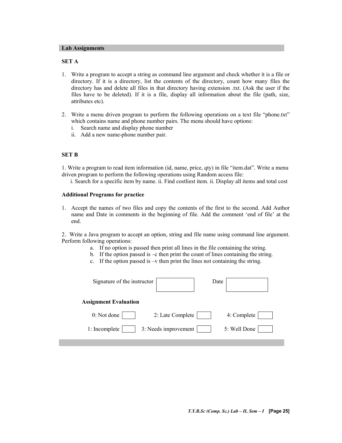#### Lab Assignments

#### SET A

- 1. Write a program to accept a string as command line argument and check whether it is a file or directory. If it is a directory, list the contents of the directory, count how many files the directory has and delete all files in that directory having extension .txt. (Ask the user if the files have to be deleted). If it is a file, display all information about the file (path, size, attributes etc).
- 2. Write a menu driven program to perform the following operations on a text file "phone.txt" which contains name and phone number pairs. The menu should have options:
	- i. Search name and display phone number
	- ii. Add a new name-phone number pair.

#### SET B

1. Write a program to read item information (id, name, price, qty) in file "item.dat". Write a menu driven program to perform the following operations using Random access file:

i. Search for a specific item by name. ii. Find costliest item. ii. Display all items and total cost

#### Additional Programs for practice

1. Accept the names of two files and copy the contents of the first to the second. Add Author name and Date in comments in the beginning of file. Add the comment 'end of file' at the end.

2. Write a Java program to accept an option, string and file name using command line argument. Perform following operations:

- a. If no option is passed then print all lines in the file containing the string.
- b. If the option passed is –c then print the count of lines containing the string.
- c. If the option passed is –v then print the lines not containing the string.

| Signature of the instructor           | Date |              |
|---------------------------------------|------|--------------|
| <b>Assignment Evaluation</b>          |      |              |
| 0: Not done<br>2: Late Complete       |      | 4: Complete  |
| 3: Needs improvement<br>1: Incomplete |      | 5: Well Done |
|                                       |      |              |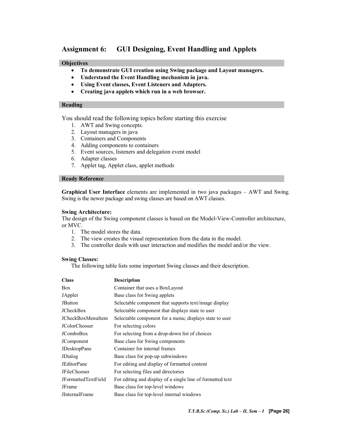#### Assignment 6: GUI Designing, Event Handling and Applets

#### **Objectives**

- To demonstrate GUI creation using Swing package and Layout managers.
- Understand the Event Handling mechanism in java.
- Using Event classes, Event Listeners and Adapters.
- Creating java applets which run in a web browser.

#### Reading

You should read the following topics before starting this exercise

- 1. AWT and Swing concepts.
- 2. Layout managers in java
- 3. Containers and Components
- 4. Adding components to containers
- 5. Event sources, listeners and delegation event model
- 6. Adapter classes
- 7. Applet tag, Applet class, applet methods

#### Ready Reference

Graphical User Interface elements are implemented in two java packages – AWT and Swing. Swing is the newer package and swing classes are based on AWT classes.

#### Swing Architecture:

The design of the Swing component classes is based on the Model-View-Controller architecture, or MVC.

- 1. The model stores the data.
- 2. The view creates the visual representation from the data in the model.
- 3. The controller deals with user interaction and modifies the model and/or the view.

#### Swing Classes:

The following table lists some important Swing classes and their description.

| <b>Class</b>               | Description                                                |
|----------------------------|------------------------------------------------------------|
| <b>Box</b>                 | Container that uses a BoxLayout                            |
| JApplet                    | Base class for Swing applets                               |
| <b>JButton</b>             | Selectable component that supports text/image display      |
| <b>JCheckBox</b>           | Selectable component that displays state to user           |
| JCheckBoxMenuItem          | Selectable component for a menu; displays state to user    |
| <b>JColorChooser</b>       | For selecting colors                                       |
| <b>JComboBox</b>           | For selecting from a drop-down list of choices             |
| JComponent                 | Base class for Swing components                            |
| <b>JDesktopPane</b>        | Container for internal frames                              |
| <b>JDialog</b>             | Base class for pop-up subwindows                           |
| <b>JEditorPane</b>         | For editing and display of formatted content               |
| <b>JFileChooser</b>        | For selecting files and directories                        |
| <b>JFormattedTextField</b> | For editing and display of a single line of formatted text |
| <b>JFrame</b>              | Base class for top-level windows                           |
| JInternalFrame             | Base class for top-level internal windows                  |
|                            |                                                            |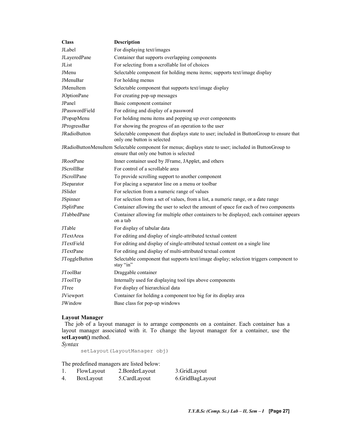| <b>Class</b>       | <b>Description</b>                                                                                                                                 |  |
|--------------------|----------------------------------------------------------------------------------------------------------------------------------------------------|--|
| JI abel            | For displaying text/images                                                                                                                         |  |
| JLayeredPane       | Container that supports overlapping components                                                                                                     |  |
| JList              | For selecting from a scrollable list of choices                                                                                                    |  |
| JMenu              | Selectable component for holding menu items; supports text/image display                                                                           |  |
| JMenuBar           | For holding menus                                                                                                                                  |  |
| JMenuItem          | Selectable component that supports text/image display                                                                                              |  |
| JOptionPane        | For creating pop-up messages                                                                                                                       |  |
| JPanel             | Basic component container                                                                                                                          |  |
| JPasswordField     | For editing and display of a password                                                                                                              |  |
| JPopupMenu         | For holding menu items and popping up over components                                                                                              |  |
| JProgressBar       | For showing the progress of an operation to the user                                                                                               |  |
| JRadioButton       | Selectable component that displays state to user; included in ButtonGroup to ensure that<br>only one button is selected                            |  |
|                    | JRadioButtonMenuItem Selectable component for menus; displays state to user; included in ButtonGroup to<br>ensure that only one button is selected |  |
| <b>JRootPane</b>   | Inner container used by JFrame, JApplet, and others                                                                                                |  |
| <b>JScrollBar</b>  | For control of a scrollable area                                                                                                                   |  |
| <b>JScrollPane</b> | To provide scrolling support to another component                                                                                                  |  |
| JSeparator         | For placing a separator line on a menu or toolbar                                                                                                  |  |
| JSlider            | For selection from a numeric range of values                                                                                                       |  |
| JSpinner           | For selection from a set of values, from a list, a numeric range, or a date range                                                                  |  |
| <b>JSplitPane</b>  | Container allowing the user to select the amount of space for each of two components                                                               |  |
| <b>JTabbedPane</b> | Container allowing for multiple other containers to be displayed; each container appears<br>on a tab                                               |  |
| JTable             | For display of tabular data                                                                                                                        |  |
| JTextArea          | For editing and display of single-attributed textual content                                                                                       |  |
| JTextField         | For editing and display of single-attributed textual content on a single line                                                                      |  |
| <b>JTextPane</b>   | For editing and display of multi-attributed textual content                                                                                        |  |
| JToggleButton      | Selectable component that supports text/image display; selection triggers component to<br>stay "in"                                                |  |
| <b>JToolBar</b>    | Draggable container                                                                                                                                |  |
| JToolTip           | Internally used for displaying tool tips above components                                                                                          |  |
| <b>JTree</b>       | For display of hierarchical data                                                                                                                   |  |
| JViewport          | Container for holding a component too big for its display area                                                                                     |  |
| JWindow            | Base class for pop-up windows                                                                                                                      |  |

#### Layout Manager

 The job of a layout manager is to arrange components on a container. Each container has a layout manager associated with it. To change the layout manager for a container, use the setLayout() method.

Syntax

setLayout(LayoutManager obj)

The predefined managers are listed below:

| FlowLayout | 2.BorderLayout | 3.GridLayout    |
|------------|----------------|-----------------|
| BoxLayout  | 5.CardLayout   | 6.GridBagLayout |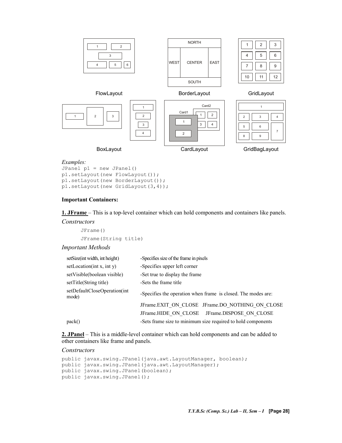

#### Examples:

```
JPanel p1 = new JPanel()
p1.setLayout(new FlowLayout()); 
p1.setLayout(new BorderLayout()); 
p1.setLayout(new GridLayout(3,4));
```
#### Important Containers:

1. JFrame – This is a top-level container which can hold components and containers like panels. **Constructors** 

JFrame() JFrame(String title)

#### Important Methods

| setSize(int width, int height)        | -Specifies size of the frame in pixels                        |
|---------------------------------------|---------------------------------------------------------------|
| setLocation $(int x, int y)$          | -Specifies upper left corner                                  |
| setVisible(boolean visible)           | -Set true to display the frame                                |
| setTitle(String title)                | -Sets the frame title                                         |
| setDefaultCloseOperation(int<br>mode) | -Specifies the operation when frame is closed. The modes are: |
|                                       | JFrame.EXIT ON CLOSE JFrame.DO NOTHING ON CLOSE               |
|                                       | JFrame.HIDE ON CLOSE JFrame.DISPOSE ON CLOSE                  |
| pack()                                | -Sets frame size to minimum size required to hold components  |

2. JPanel – This is a middle-level container which can hold components and can be added to other containers like frame and panels.

#### **Constructors**

```
public javax.swing.JPanel(java.awt.LayoutManager, boolean); 
public javax.swing.JPanel(java.awt.LayoutManager); 
public javax.swing.JPanel(boolean); 
public javax.swing.JPanel();
```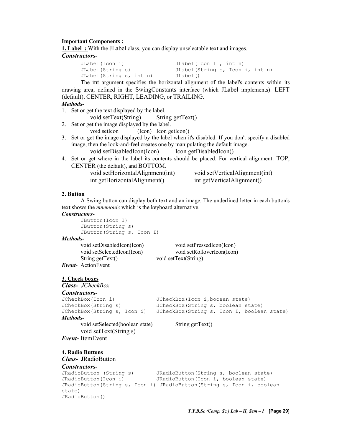#### Important Components :

1. Label : With the JLabel class, you can display unselectable text and images.

#### Constructors-

JLabel(Icon i) JLabel(Icon I , int n) JLabel(String s) JLabel(String s, Icon i, int n) JLabel(String s, int n) JLabel()

The int argument specifies the horizontal alignment of the label's contents within its drawing area; defined in the SwingConstants interface (which JLabel implements): LEFT (default), CENTER, RIGHT, LEADING, or TRAILING. Methods-

- 1. Set or get the text displayed by the label.
	- void setText(String) String getText()
- 2. Set or get the image displayed by the label.
	- void setIcon (Icon) Icon getIcon()
- 3. Set or get the image displayed by the label when it's disabled. If you don't specify a disabled image, then the look-and-feel creates one by manipulating the default image. void setDisabledIcon(Icon) Icon getDisabledIcon()
- 4. Set or get where in the label its contents should be placed. For vertical alignment: TOP, CENTER (the default), and BOTTOM.

| void setHorizontalAlignment(int) | void setVerticalAlignment(int) |
|----------------------------------|--------------------------------|
| int getHorizontalAlignment()     | int getVerticalAlignment()     |

#### 2. Button

A Swing button can display both text and an image. The underlined letter in each button's text shows the mnemonic which is the keyboard alternative. Constructors-

```
JButton(Icon I) 
JButton(String s) 
JButton(String s, Icon I)
```
Methods-

```
void setDisabledIcon(Icon) void setPressedIcon(Icon) 
      void setSelectedIcon(Icon) void setRolloverIcon(Icon) 
      String getText() void setText(String)
Event- ActionEvent
```
3. Check boxes

#### Class- JCheckBox

```
Constructors-<br>JCheckBox(Icon i)
                                JCheckBox(Icon i,booean state)
JCheckBox(String s) JCheckBox(String s, boolean state) 
JCheckBox(String s, Icon i) JCheckBox(String s, Icon I, boolean state) 
Methods- 
      void setSelected(boolean state) String getText()
```
 void setText(String s) Event- ItemEvent

```
4. Radio Buttons
```
#### Class- JRadioButton

#### Constructors-

```
JRadioButton (String s) JRadioButton(String s, boolean state) 
JRadioButton(Icon i) JRadioButton(Icon i, boolean state) 
JRadioButton(String s, Icon i) JRadioButton(String s, Icon i, boolean 
state) 
JRadioButton()
```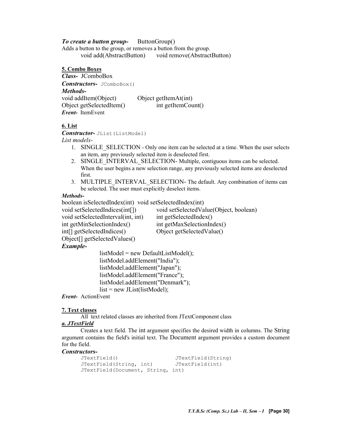#### To create a button group-<br>ButtonGroup()

Adds a button to the group, or removes a button from the group. void add(AbstractButton) void remove(AbstractButton)

5. Combo Boxes Class- JComboBox Constructors- JComboBox() Methodsvoid addItem(Object) Object getItemAt(int) Object getSelectedItem() int getItemCount() Event- ItemEvent

#### 6. List

Constructor- JList(ListModel) List models-

- 1. SINGLE SELECTION Only one item can be selected at a time. When the user selects an item, any previously selected item is deselected first.
- 2. SINGLE INTERVAL SELECTION- Multiple, contiguous items can be selected. When the user begins a new selection range, any previously selected items are deselected first.
- 3. MULTIPLE INTERVAL SELECTION- The default. Any combination of items can be selected. The user must explicitly deselect items.

#### Methods-

boolean isSelectedIndex(int) void setSelectedIndex(int)

void setSelectedIndices(int[]) void setSelectedValue(Object, boolean) void setSelectedInterval(int, int) int getSelectedIndex() int getMinSelectionIndex() int getMaxSelectionIndex() int[] getSelectedIndices() Object getSelectedValue() Object[] getSelectedValues()

#### Example-

listModel = new DefaultListModel(); listModel.addElement("India"); listModel.addElement("Japan"); listModel.addElement("France"); listModel.addElement("Denmark");  $list = new JList(listModel);$ 

Event- ActionEvent

#### 7. Text classes

All text related classes are inherited from JTextComponent class

#### a. JTextField

Creates a text field. The int argument specifies the desired width in columns. The String argument contains the field's initial text. The Document argument provides a custom document for the field.

## Constructors-<br>
JTextField()

```
JTextField() JTextField(String) 
JTextField(String, int) JTextField(int) 
JTextField(Document, String, int)
```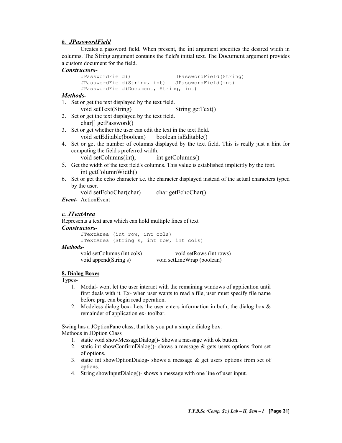#### b. JPasswordField

Creates a password field. When present, the int argument specifies the desired width in columns. The String argument contains the field's initial text. The Document argument provides a custom document for the field.

```
Constructors-<br>
JPasswordField()
                                       JPasswordField(String)
      JPasswordField(String, int) JPasswordField(int) 
      JPasswordField(Document, String, int)
```
#### Methods-

- 1. Set or get the text displayed by the text field.
	- void setText(String) String getText()
- 2. Set or get the text displayed by the text field. char[] getPassword()
- 3. Set or get whether the user can edit the text in the text field. void setEditable(boolean) boolean isEditable()
- 4. Set or get the number of columns displayed by the text field. This is really just a hint for computing the field's preferred width.
	- void setColumns(int); int getColumns()
- 5. Get the width of the text field's columns. This value is established implicitly by the font. int getColumnWidth()
- 6. Set or get the echo character i.e. the character displayed instead of the actual characters typed by the user.
	- void setEchoChar(char) char getEchoChar()
- Event- ActionEvent

#### c. JTextArea

Represents a text area which can hold multiple lines of text

#### Constructors-

```
JTextArea (int row, int cols) 
      JTextArea (String s, int row, int cols) 
Methods- 
      void setColumns (int cols) void setRows (int rows)
       void append(String s) void setLineWrap (boolean)
```
#### 8. Dialog Boxes

Types-

- 1. Modal- wont let the user interact with the remaining windows of application until first deals with it. Ex- when user wants to read a file, user must specify file name before prg. can begin read operation.
- 2. Modeless dialog box- Lets the user enters information in both, the dialog box & remainder of application ex- toolbar.

Swing has a JOptionPane class, that lets you put a simple dialog box.

Methods in JOption Class

- 1. static void showMessageDialog()- Shows a message with ok button.
- 2. static int showConfirmDialog()- shows a message  $\&$  gets users options from set of options.
- 3. static int showOptionDialog- shows a message  $\&$  get users options from set of options.
- 4. String showInputDialog()- shows a message with one line of user input.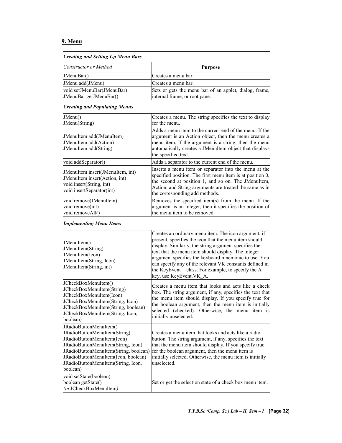#### 9. Menu

| <b>Creating and Setting Up Menu Bars</b>                                                                                                                                                                                                                     |                                                                                                                                                                                                                                                                                                                                                                                                                                  |  |
|--------------------------------------------------------------------------------------------------------------------------------------------------------------------------------------------------------------------------------------------------------------|----------------------------------------------------------------------------------------------------------------------------------------------------------------------------------------------------------------------------------------------------------------------------------------------------------------------------------------------------------------------------------------------------------------------------------|--|
| Constructor or Method                                                                                                                                                                                                                                        | <b>Purpose</b>                                                                                                                                                                                                                                                                                                                                                                                                                   |  |
| JMenuBar()                                                                                                                                                                                                                                                   | Creates a menu bar.                                                                                                                                                                                                                                                                                                                                                                                                              |  |
| JMenu add(JMenu)                                                                                                                                                                                                                                             | Creates a menu bar.                                                                                                                                                                                                                                                                                                                                                                                                              |  |
| void setJMenuBar(JMenuBar)<br>JMenuBar getJMenuBar()                                                                                                                                                                                                         | Sets or gets the menu bar of an applet, dialog, frame,<br>internal frame, or root pane.                                                                                                                                                                                                                                                                                                                                          |  |
| <b>Creating and Populating Menus</b>                                                                                                                                                                                                                         |                                                                                                                                                                                                                                                                                                                                                                                                                                  |  |
| JMenu()<br>JMenu(String)                                                                                                                                                                                                                                     | Creates a menu. The string specifies the text to display<br>for the menu.                                                                                                                                                                                                                                                                                                                                                        |  |
| JMenuItem add(JMenuItem)<br>JMenuItem add(Action)<br>JMenuItem add(String)                                                                                                                                                                                   | Adds a menu item to the current end of the menu. If the<br>argument is an Action object, then the menu creates a<br>menu item. If the argument is a string, then the menu<br>automatically creates a JMenuItem object that displays<br>the specified text.                                                                                                                                                                       |  |
| void addSeparator()                                                                                                                                                                                                                                          | Adds a separator to the current end of the menu.                                                                                                                                                                                                                                                                                                                                                                                 |  |
| JMenuItem insert(JMenuItem, int)<br>JMenuItem insert(Action, int)<br>void insert(String, int)<br>void insertSeparator(int)                                                                                                                                   | Inserts a menu item or separator into the menu at the<br>specified position. The first menu item is at position 0,<br>the second at position 1, and so on. The JMenuItem,<br>Action, and String arguments are treated the same as in<br>the corresponding add methods.                                                                                                                                                           |  |
| void remove(JMenuItem)<br>void remove(int)<br>void removeAll()                                                                                                                                                                                               | Removes the specified item(s) from the menu. If the<br>argument is an integer, then it specifies the position of<br>the menu item to be removed.                                                                                                                                                                                                                                                                                 |  |
| <b>Implementing Menu Items</b>                                                                                                                                                                                                                               |                                                                                                                                                                                                                                                                                                                                                                                                                                  |  |
| JMenuItem()<br>JMenuItem(String)<br>JMenuItem(Icon)<br>JMenuItem(String, Icon)<br>JMenuItem(String, int)                                                                                                                                                     | Creates an ordinary menu item. The icon argument, if<br>present, specifies the icon that the menu item should<br>display. Similarly, the string argument specifies the<br>text that the menu item should display. The integer<br>argument specifies the keyboard mnemonic to use. You<br>can specify any of the relevant VK constants defined in<br>the KeyEvent class. For example, to specify the A<br>key, use KeyEvent.VK_A. |  |
| JCheckBoxMenuItem()<br>JCheckBoxMenuItem(String)<br>JCheckBoxMenuItem(Icon)<br>JCheckBoxMenuItem(String, Icon)<br>JCheckBoxMenuItem(String, boolean)<br>JCheckBoxMenuItem(String, Icon,<br>boolean)                                                          | Creates a menu item that looks and acts like a check<br>box. The string argument, if any, specifies the text that<br>the menu item should display. If you specify true for<br>the boolean argument, then the menu item is initially<br>selected (checked). Otherwise, the menu item is<br>initially unselected.                                                                                                                  |  |
| JRadioButtonMenuItem()<br>JRadioButtonMenuItem(String)<br>JRadioButtonMenuItem(Icon)<br>JRadioButtonMenuItem(String, Icon)<br>JRadioButtonMenuItem(String, boolean)<br>JRadioButtonMenuItem(Icon, boolean)<br>JRadioButtonMenuItem(String, Icon,<br>boolean) | Creates a menu item that looks and acts like a radio<br>button. The string argument, if any, specifies the text<br>that the menu item should display. If you specify true<br>for the boolean argument, then the menu item is<br>initially selected. Otherwise, the menu item is initially<br>unselected.                                                                                                                         |  |
| void setState(boolean)<br>boolean getState()<br>(in JCheckBoxMenuItem)                                                                                                                                                                                       | Set or get the selection state of a check box menu item.                                                                                                                                                                                                                                                                                                                                                                         |  |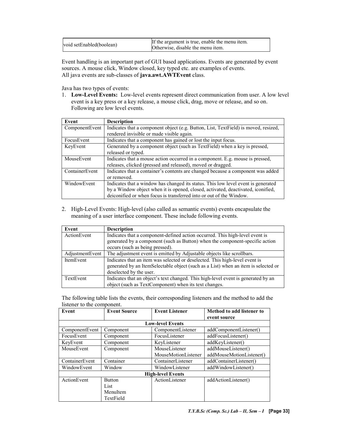| void setEnabled(boolean) | If the argument is true, enable the menu item.<br>Otherwise, disable the menu item. |
|--------------------------|-------------------------------------------------------------------------------------|
|--------------------------|-------------------------------------------------------------------------------------|

Event handling is an important part of GUI based applications. Events are generated by event sources. A mouse click, Window closed, key typed etc. are examples of events. All java events are sub-classes of java.awt.AWTEvent class.

Java has two types of events:

1. Low-Level Events: Low-level events represent direct communication from user. A low level event is a key press or a key release, a mouse click, drag, move or release, and so on. Following are low level events.

| Event          | <b>Description</b>                                                                  |  |  |
|----------------|-------------------------------------------------------------------------------------|--|--|
| ComponentEvent | Indicates that a component object (e.g. Button, List, TextField) is moved, resized, |  |  |
|                | rendered invisible or made visible again.                                           |  |  |
| FocusEvent     | Indicates that a component has gained or lost the input focus.                      |  |  |
| KeyEvent       | Generated by a component object (such as TextField) when a key is pressed,          |  |  |
|                | released or typed.                                                                  |  |  |
| MouseEvent     | Indicates that a mouse action occurred in a component. E.g. mouse is pressed,       |  |  |
|                | releases, clicked (pressed and released), moved or dragged.                         |  |  |
| ContainerEvent | Indicates that a container's contents are changed because a component was added     |  |  |
|                | or removed.                                                                         |  |  |
| WindowEvent    | Indicates that a window has changed its status. This low level event is generated   |  |  |
|                | by a Window object when it is opened, closed, activated, deactivated, iconified,    |  |  |
|                | deiconified or when focus is transferred into or out of the Window.                 |  |  |

2. High-Level Events: High-level (also called as semantic events) events encapsulate the meaning of a user interface component. These include following events.

| Event           | <b>Description</b>                                                                                                                                                                              |  |  |
|-----------------|-------------------------------------------------------------------------------------------------------------------------------------------------------------------------------------------------|--|--|
| ActionEvent     | Indicates that a component-defined action occurred. This high-level event is<br>generated by a component (such as Button) when the component-specific action<br>occurs (such as being pressed). |  |  |
|                 |                                                                                                                                                                                                 |  |  |
| AdjustmentEvent | The adjustment event is emitted by Adjustable objects like scrollbars.                                                                                                                          |  |  |
| ItemEvent       | Indicates that an item was selected or deselected. This high-level event is                                                                                                                     |  |  |
|                 | generated by an ItemSelectable object (such as a List) when an item is selected or                                                                                                              |  |  |
|                 | deselected by the user.                                                                                                                                                                         |  |  |
| TextEvent       | Indicates that an object's text changed. This high-level event is generated by an                                                                                                               |  |  |
|                 | object (such as TextComponent) when its text changes.                                                                                                                                           |  |  |

The following table lists the events, their corresponding listeners and the method to add the listener to the component.

| Event                    | <b>Event Listener</b><br><b>Event Source</b> |                         | Method to add listener to |  |
|--------------------------|----------------------------------------------|-------------------------|---------------------------|--|
|                          |                                              |                         | event source              |  |
|                          |                                              | <b>Low-level Events</b> |                           |  |
| ComponentEvent           | Component                                    | ComponentListener       | addComponentListener()    |  |
| FocusEvent               | Component                                    | FocusListener           | addFocusListener()        |  |
| KeyEvent                 | Component                                    | KeyListener             | addKeyListener()          |  |
| MouseEvent               | Component                                    | MouseListener           | addMouseListener()        |  |
|                          |                                              | MouseMotionListener     | addMouseMotionListener()  |  |
| ContainerEvent           | Container                                    | ContainerListener       | addContainerListener()    |  |
| WindowEvent              | Window                                       | WindowListener          | addWindowListener()       |  |
| <b>High-level Events</b> |                                              |                         |                           |  |
| ActionEvent              | <b>Button</b>                                | ActionListener          | addActionListener()       |  |
|                          | List                                         |                         |                           |  |
|                          | MenuItem                                     |                         |                           |  |
|                          | TextField                                    |                         |                           |  |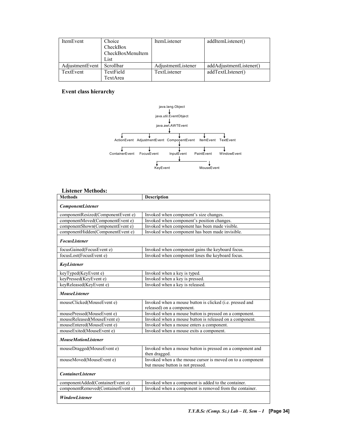| ItemEvent       | Choice<br>CheckBox<br>CheckBoxMenuItem<br>List | ItemListener       | addItemListener()       |
|-----------------|------------------------------------------------|--------------------|-------------------------|
| AdjustmentEvent | Scrollbar                                      | AdjustmentListener | addAdjustmentListener() |
| TextEvent       | TextField                                      | TextListener       | addTextLIstener()       |
|                 | TextArea                                       |                    |                         |

#### Event class hierarchy



#### Listener Methods:

| <b>Methods</b>                     | <b>Description</b>                                                                    |
|------------------------------------|---------------------------------------------------------------------------------------|
| <b>ComponentListener</b>           |                                                                                       |
| componentResized(ComponentEvent e) | Invoked when component's size changes.                                                |
| componentMoved(ComponentEvent e)   | Invoked when component's position changes.                                            |
| componentShown(ComponentEvent e)   | Invoked when component has been made visible.                                         |
| componentHidden(ComponentEvent e)  | Invoked when component has been made invisible.                                       |
| <b>FocusListener</b>               |                                                                                       |
| focusGained(FocusEvent e)          | Invoked when component gains the keyboard focus.                                      |
| focusLost(FocusEvent e)            | Invoked when component loses the keyboard focus.                                      |
| KeyListener                        |                                                                                       |
| keyTyped(KeyEvent e)               | Invoked when a key is typed.                                                          |
| keyPressed(KeyEvent e)             | Invoked when a key is pressed.                                                        |
| keyReleased(KeyEvent e)            | Invoked when a key is released.                                                       |
| <b>MouseListener</b>               |                                                                                       |
| mouseClicked(MouseEvent e)         | Invoked when a mouse button is clicked (i.e. pressed and<br>released) on a component. |
| mousePressed(MouseEvent e)         | Invoked when a mouse button is pressed on a component.                                |
| mouseReleased(MouseEvent e)        | Invoked when a mouse button is released on a component.                               |
| mouseEntered(MouseEvent e)         | Invoked when a mouse enters a component.                                              |
| mouseExited(MouseEvent e)          | Invoked when a mouse exits a component.                                               |
| <b>MouseMotionListener</b>         |                                                                                       |
| mouseDragged(MouseEvent e)         | Invoked when a mouse button is pressed on a component and<br>then dragged.            |
| mouseMoved(MouseEvent e)           | Invoked when a the mouse cursor is moved on to a component                            |
|                                    | but mouse button is not pressed.                                                      |
| <b>ContainerListener</b>           |                                                                                       |
| componentAdded(ContainerEvent e)   | Invoked when a component is added to the container.                                   |
| componentRemoved(ContainerEvent e) | Invoked when a component is removed from the container.                               |
| <b>WindowListener</b>              |                                                                                       |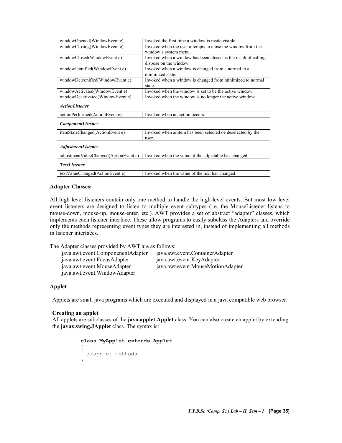| windowOpened(WindowEvent e)           | Invoked the first time a window is made visible                |
|---------------------------------------|----------------------------------------------------------------|
| windowClosing(WindowEvent e)          | Invoked when the user attempts to close the window from the    |
|                                       | window's system menu.                                          |
| windowClosed(WindowEvent e)           | Invoked when a window has been closed as the result of calling |
|                                       | dispose on the window.                                         |
| windowIconified(WindowEvent e)        | Invoked when a window is changed from a normal to a            |
|                                       | minimized state.                                               |
| windowDeiconified(WindowEvent e)      | Invoked when a window is changed from minimized to normal      |
|                                       | state.                                                         |
| windowActivated(WindowEvent e)        | Invoked when the window is set to be the active window.        |
| windowDeactivated(WindowEvent e)      | Invoked when the window is no longer the active window.        |
|                                       |                                                                |
| <b>ActionListener</b>                 |                                                                |
| actionPerformed(ActionEvent e)        | Invoked when an action occurs.                                 |
| <b>ComponentListsner</b>              |                                                                |
|                                       |                                                                |
| itemStateChanged(ActionEvent e)       | Invoked when anitem has been selected oe deselected by the     |
|                                       | user.                                                          |
|                                       |                                                                |
| <b>AdjustmentListener</b>             |                                                                |
| adjustmentValueChanged(ActionEvent e) | Invoked when the value of the adjustable has changed.          |
|                                       |                                                                |
| <b>TextListener</b>                   |                                                                |
| textValueChanged(ActionEvent e)       | Invoked when the value of the text has changed.                |
|                                       |                                                                |

#### Adapter Classes:

All high level listeners contain only one method to handle the high-level events. But most low level event listeners are designed to listen to multiple event subtypes (i.e. the MouseListener listens to mouse-down, mouse-up, mouse-enter, etc.). AWT provides a set of abstract "adapter" classes, which implements each listener interface. These allow programs to easily subclass the Adapters and override only the methods representing event types they are interested in, instead of implementing all methods in listener interfaces.

The Adapter classes provided by AWT are as follows:

| java.awt.event.ComponenentAdapter | java.awt.event.ContainerAdapter   |
|-----------------------------------|-----------------------------------|
| java.awt.event.FocusAdapter       | java.awt.event.KeyAdapter         |
| java.awt.event.MouseAdapter       | java.awt.event.MouseMotionAdapter |
| java.awt.event.WindowAdapter      |                                   |

#### Applet

Applets are small java programs which are executed and displayed in a java compatible web browser.

#### Creating an applet

All applets are subclasses of the java.applet.Applet class. You can also create an applet by extending the javax.swing.JApplet class. The syntax is:

#### class MyApplet extends Applet

```
{ 
  //applet methods 
}
```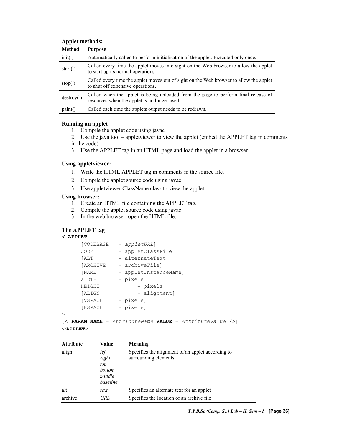#### Applet methods:

| Method     | <b>Purpose</b>                                                                                                                    |
|------------|-----------------------------------------------------------------------------------------------------------------------------------|
| init()     | Automatically called to perform initialization of the applet. Executed only once.                                                 |
| start $()$ | Called every time the applet moves into sight on the Web browser to allow the applet<br>to start up its normal operations.        |
| stop()     | Called every time the applet moves out of sight on the Web browser to allow the applet<br>to shut off expensive operations.       |
| destroy()  | Called when the applet is being unloaded from the page to perform final release of<br>resources when the applet is no longer used |
| paint()    | Called each time the applets output needs to be redrawn.                                                                          |

#### Running an applet

1. Compile the applet code using javac

2. Use the java tool – appletviewer to view the applet (embed the APPLET tag in comments in the code)

3. Use the APPLET tag in an HTML page and load the applet in a browser

#### Using appletviewer:

- 1. Write the HTML APPLET tag in comments in the source file.
- 2. Compile the applet source code using javac.
- 3. Use appletviewer ClassName.class to view the applet.

#### Using browser:

- 1. Create an HTML file containing the APPLET tag.
- 2. Compile the applet source code using javac.
- 3. In the web browser, open the HTML file.

#### The APPLET tag

#### < APPLET

>

| [CODEBASE      | $=$ appletURL]        |
|----------------|-----------------------|
| CODE           | = appletClassFile     |
| <b>TALT</b>    | = alternateTextl      |
| [ARCHIVE       | = archiveFilel        |
| [ NAME         | = appletInstanceName] |
| WIDTH          | = pixels              |
| HEIGHT         | = pixels              |
| <b>[ALIGN</b>  | $=$ alignment]        |
| <b>[VSPACE</b> | = pixels]             |
| [HSPACE        | = pixels]             |
|                |                       |

 $[\langle$  PARAM NAME = AttributeName VALUE = AttributeValue  $[\rangle]$  $<$ /APPLET>

| <b>Attribute</b> | Value                                                | Meaning                                                                   |
|------------------|------------------------------------------------------|---------------------------------------------------------------------------|
| align            | left<br>right<br>top<br>bottom<br>middle<br>baseline | Specifies the alignment of an applet according to<br>surrounding elements |
| alt              | text                                                 | Specifies an alternate text for an applet                                 |
| archive          | URL                                                  | Specifies the location of an archive file.                                |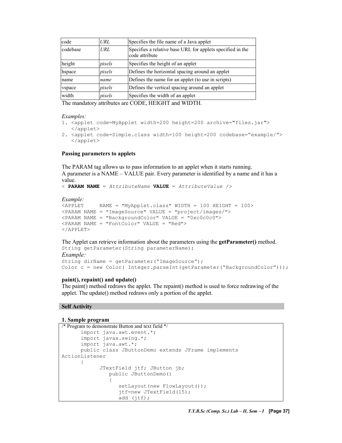| code     | URL    | Specifies the file name of a Java applet                                     |  |
|----------|--------|------------------------------------------------------------------------------|--|
| codebase | URL    | Specifies a relative base URL for applets specified in the<br>code attribute |  |
| height   | pixels | Specifies the height of an applet                                            |  |
| hspace   | pixels | Defines the horizontal spacing around an applet                              |  |
| name     | name   | Defines the name for an applet (to use in scripts)                           |  |
| vspace   | pixels | Defines the vertical spacing around an applet                                |  |
| width    | pixels | Specifies the width of an applet                                             |  |

The mandatory attributes are CODE, HEIGHT and WIDTH.

#### Examples:

- 1. <applet code=MyApplet width=200 height=200 archive="files.jar"> </applet>
- 2. <applet code=Simple.class width=100 height=200 codebase="example/"> </applet>

#### Passing parameters to applets

The PARAM tag allows us to pass information to an applet when it starts running. A parameter is a NAME – VALUE pair. Every parameter is identified by a name and it has a value.

```
\leq PARAM NAME = AttributeName VALUE = AttributeValue />
```
## Example:<br><APPLET

```
NAME = "MyApplet.class" WIDTH = 100 HEIGHT = 100><PARAM NAME = "ImageSource" VALUE = "project/images/"> 
<PARAM NAME = "BackgroundColor" VALUE = "0xc0c0c0"> 
<PARAM NAME = "FontColor" VALUE = "Red"> 
</APPLET>
```
#### The Applet can retrieve information about the parameters using the **getParameter()** method. String getParameter(String parameterName);

```
Example: 
String dirName = getParameter("ImageSource"); 
Color c = new Color( Integer.parseInt(getParameter("BackgroundColor")));
```
#### paint(), repaint() and update()

The paint() method redraws the applet. The repaint() method is used to force redrawing of the applet. The update() method redraws only a portion of the applet.

#### Self Activity

#### 1. Sample program

```
/* Program to demonstrate Button and text field */
      import java.awt.event.*; 
      import javax.swing.*; 
      import java.awt.*; 
      public class JButtonDemo extends JFrame implements 
ActionListener 
      { 
             JTextField jtf; JButton jb; 
                 public JButtonDemo() 
{1 \over 2}setLayout (new FlowLayout () ) ;
                    jtf=new JTextField(15); 
                    add (jtf);
```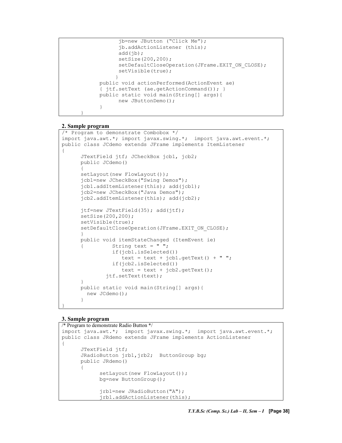```
jb=new JButton ("Click Me"); 
                 jb.addActionListener (this); 
                 add(jb);setSize(200,200); 
                 setDefaultCloseOperation(JFrame.EXIT_ON_CLOSE);
                 setVisible(true); 
 } 
           public void actionPerformed(ActionEvent ae) 
           { jtf.setText (ae.getActionCommand()); } 
           public static void main(String[] args){ 
                 new JButtonDemo(); 
           }
```
#### 2. Sample program

}

```
/* Program to demonstrate Combobox */ 
import java.awt.*; import javax.swing.*; import java.awt.event.*; 
public class JCdemo extends JFrame implements ItemListener 
{ 
      JTextField jtf; JCheckBox jcb1, jcb2; 
      public JCdemo() 
      { 
      setLayout (new FlowLayout ());
      jcb1=new JCheckBox("Swing Demos"); 
      jcb1.addItemListener(this); add(jcb1); 
      jcb2=new JCheckBox("Java Demos"); 
      jcb2.addItemListener(this); add(jcb2); 
      jtf=new JTextField(35); add(jtf); 
      setSize(200,200); 
      setVisible(true); 
      setDefaultCloseOperation(JFrame.EXIT_ON_CLOSE);
      } 
      public void itemStateChanged (ItemEvent ie) 
                String text = " ";
                 if(jcb1.isSelected()) 
                    text = text + jcb1.getText() + "";
                 if(jcb2.isSelected()) 
                   text = text + jcb2.getText();
               jtf.setText(text); 
      } 
      public static void main(String[] args){ 
         new JCdemo(); 
      }
```
#### 3. Sample program

}

```
/* Program to demonstrate Radio Button */ 
import java.awt.*; import javax.swing.*; import java.awt.event.*; 
public class JRdemo extends JFrame implements ActionListener 
{ 
        JTextField jtf; 
       JRadioButton jrb1, jrb2; ButtonGroup bg;
       public JRdemo() 
\left\{\begin{array}{c} \end{array}\right.setLayout (new FlowLayout () ) ;
               bg=new ButtonGroup(); 
               jrb1=new JRadioButton("A"); 
               jrb1.addActionListener(this);
```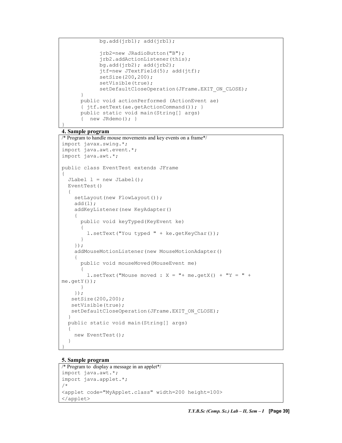$bq.add(jrb1); add(jrb1);$ 

```
 jrb2=new JRadioButton("B"); 
             jrb2.addActionListener(this); 
            bg.add(jrb2); add(jrb2);
             jtf=new JTextField(5); add(jtf); 
             setSize(200,200); 
             setVisible(true); 
             setDefaultCloseOperation(JFrame.EXIT_ON_CLOSE); 
 } 
      public void actionPerformed (ActionEvent ae) 
       { jtf.setText(ae.getActionCommand()); } 
      public static void main(String[] args) 
       { new JRdemo(); }
```
#### 4. Sample program

}

```
/* Program to handle mouse movements and key events on a frame*/
import javax.swing.*; 
import java.awt.event.*; 
import java.awt.*; 
public class EventTest extends JFrame 
{ 
   JLabel l = new JLabel(); 
   EventTest() 
   { 
    setLayout (new FlowLayout () ) ;
    add(1); addKeyListener(new KeyAdapter() 
     { 
       public void keyTyped(KeyEvent ke) 
\{ l.setText("You typed " + ke.getKeyChar()); 
 } 
     }); 
     addMouseMotionListener(new MouseMotionAdapter()
     { 
       public void mouseMoved(MouseEvent me) 
\{l.setText("Mouse moved : X = " + me.getX() + "Y = " +me.getY()); 
      } 
     }); 
    setSize(200,200); 
    setVisible(true); 
  setDefaultCloseOperation(JFrame.EXIT_ON_CLOSE);
   } 
   public static void main(String[] args) 
   { 
     new EventTest(); 
   } 
}
```
#### 5. Sample program

```
/* Program to display a message in an applet*/ 
import java.awt.*; 
import java.applet.*; 
/* 
<applet code="MyApplet.class" width=200 height=100>
</applet>
```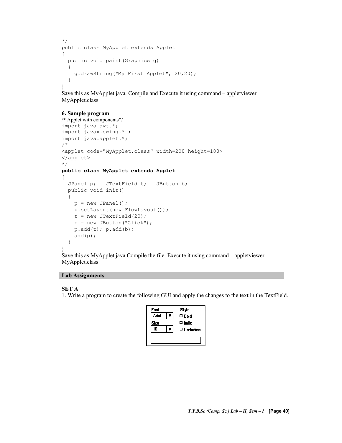```
*/ 
public class MyApplet extends Applet 
{ 
   public void paint(Graphics g) 
   { 
     g.drawString("My First Applet", 20,20); 
   } 
}
```
Save this as MyApplet.java. Compile and Execute it using command – appletviewer MyApplet.class

#### 6. Sample program

```
/* Applet with components*/ 
import java.awt.*; 
import javax.swing.* ; 
import java.applet.*; 
/* 
<applet code="MyApplet.class" width=200 height=100>
</applet> 
*/ 
public class MyApplet extends Applet 
{ 
   JPanel p; JTextField t; JButton b; 
   public void init() 
   { 
    p = new JPanel();
    p.setLayout(new FlowLayout()); 
   t = new JTextField(20);
   b = new JButton('Click');p.add(t); p.add(b); add(p); 
   } 
}
```
Save this as MyApplet.java Compile the file. Execute it using command – appletviewer MyApplet.class

#### Lab Assignments

#### SET A

1. Write a program to create the following GUI and apply the changes to the text in the TextField.

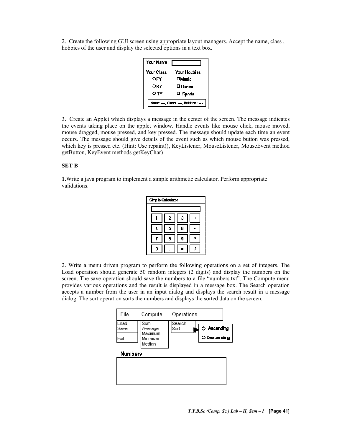2. Create the following GUI screen using appropriate layout managers. Accept the name, class , hobbies of the user and display the selected options in a text box.

| Your Name :                   |                 |  |  |  |
|-------------------------------|-----------------|--|--|--|
| Yrur Class                    | Your Horbies    |  |  |  |
| OFY                           | $\square$ Music |  |  |  |
| OSY                           | □ Dance         |  |  |  |
| יד ס                          | □ Sports        |  |  |  |
| Ivame: - Class: -- Hobbes: -- |                 |  |  |  |

3. Create an Applet which displays a message in the center of the screen. The message indicates the events taking place on the applet window. Handle events like mouse click, mouse moved, mouse dragged, mouse pressed, and key pressed. The message should update each time an event occurs. The message should give details of the event such as which mouse button was pressed, which key is pressed etc. (Hint: Use repaint(), KeyListener, MouseListener, MouseEvent method getButton, KeyEvent methods getKeyChar)

#### SET B

1.Write a java program to implement a simple arithmetic calculator. Perform appropriate validations.

| <b>Simple Calculator</b> |   |   |  |  |  |
|--------------------------|---|---|--|--|--|
|                          |   |   |  |  |  |
|                          | 2 | Э |  |  |  |
|                          | 6 | 6 |  |  |  |
|                          | 8 | 9 |  |  |  |
| п                        |   |   |  |  |  |

2. Write a menu driven program to perform the following operations on a set of integers. The Load operation should generate 50 random integers (2 digits) and display the numbers on the screen. The save operation should save the numbers to a file "numbers.txt". The Compute menu provides various operations and the result is displayed in a message box. The Search operation accepts a number from the user in an input dialog and displays the search result in a message dialog. The sort operation sorts the numbers and displays the sorted data on the screen.

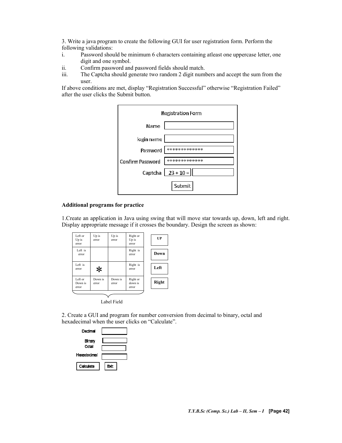3. Write a java program to create the following GUI for user registration form. Perform the following validations:

- i. Password should be minimum 6 characters containing atleast one uppercase letter, one digit and one symbol.
- ii. Confirm password and password fields should match.
- iii. The Captcha should generate two random 2 digit numbers and accept the sum from the user.

If above conditions are met, display "Registration Successful" otherwise "Registration Failed" after the user clicks the Submit button.



#### Additional programs for practice

1.Create an application in Java using swing that will move star towards up, down, left and right. Display appropriate message if it crosses the boundary. Design the screen as shown:

| Left or<br>Up is<br>error   | Up is<br>error   | Up is<br>error   | Right or<br>Up is<br>error   | $\mathbf{U}\mathbf{P}$ |
|-----------------------------|------------------|------------------|------------------------------|------------------------|
| Left is<br>error            |                  |                  | Right is<br>error            | Down                   |
| Left is<br>error            | $\ast$           |                  | Right is<br>error            | Left                   |
| Left or<br>Down is<br>error | Down is<br>error | Down is<br>error | Right or<br>down is<br>error | <b>Right</b>           |

Label Field

2. Create a GUI and program for number conversion from decimal to binary, octal and hexadecimal when the user clicks on "Calculate".